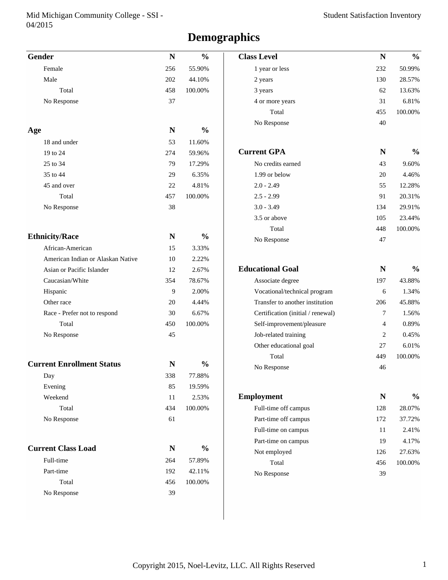#### Mid Michigan Community College - SSI - 04/2015

# **Demographics**

| <b>Gender</b>                     | $\mathbf N$ | $\frac{0}{0}$ | <b>Class Level</b>                | N           | $\frac{0}{0}$ |
|-----------------------------------|-------------|---------------|-----------------------------------|-------------|---------------|
| Female                            | 256         | 55.90%        | 1 year or less                    | 232         | 50.99%        |
| Male                              | 202         | 44.10%        | 2 years                           | 130         | 28.57%        |
| Total                             | 458         | 100.00%       | 3 years                           | 62          | 13.63%        |
| No Response                       | 37          |               | 4 or more years                   | 31          | 6.81%         |
|                                   |             |               | Total                             | 455         | 100.00%       |
|                                   |             |               | No Response                       | 40          |               |
| Age                               | ${\bf N}$   | $\frac{0}{0}$ |                                   |             |               |
| 18 and under                      | 53          | 11.60%        |                                   |             |               |
| 19 to 24                          | 274         | 59.96%        | <b>Current GPA</b>                | ${\bf N}$   | $\frac{0}{0}$ |
| 25 to 34                          | 79          | 17.29%        | No credits earned                 | 43          | 9.60%         |
| 35 to 44                          | 29          | 6.35%         | 1.99 or below                     | 20          | 4.46%         |
| 45 and over                       | 22          | 4.81%         | $2.0 - 2.49$                      | 55          | 12.28%        |
| Total                             | 457         | 100.00%       | $2.5 - 2.99$                      | 91          | 20.31%        |
| No Response                       | 38          |               | $3.0 - 3.49$                      | 134         | 29.91%        |
|                                   |             |               | 3.5 or above                      | 105         | 23.44%        |
|                                   |             |               | Total                             | 448         | 100.00%       |
| <b>Ethnicity/Race</b>             | ${\bf N}$   | $\frac{0}{0}$ | No Response                       | 47          |               |
| African-American                  | 15          | 3.33%         |                                   |             |               |
| American Indian or Alaskan Native | 10          | 2.22%         |                                   |             |               |
| Asian or Pacific Islander         | 12          | 2.67%         | <b>Educational Goal</b>           | $\mathbf N$ | $\frac{0}{0}$ |
| Caucasian/White                   | 354         | 78.67%        | Associate degree                  | 197         | 43.88%        |
| Hispanic                          | 9           | 2.00%         | Vocational/technical program      | 6           | 1.34%         |
| Other race                        | 20          | 4.44%         | Transfer to another institution   | 206         | 45.88%        |
| Race - Prefer not to respond      | 30          | 6.67%         | Certification (initial / renewal) | 7           | 1.56%         |
| Total                             | 450         | 100.00%       | Self-improvement/pleasure         | 4           | 0.89%         |
| No Response                       | 45          |               | Job-related training              | 2           | 0.45%         |
|                                   |             |               | Other educational goal            | 27          | 6.01%         |
| <b>Current Enrollment Status</b>  |             | $\frac{0}{0}$ | Total                             | 449         | 100.00%       |
|                                   | N           |               | No Response                       | 46          |               |
| Day                               | 338         | 77.88%        |                                   |             |               |
| Evening                           | 85          | 19.59%        |                                   |             |               |
| Weekend                           | 11          | 2.53%         | <b>Employment</b>                 | ${\bf N}$   | $\frac{0}{0}$ |
| Total                             | 434         | 100.00%       | Full-time off campus              | 128         | 28.07%        |
| No Response                       | 61          |               | Part-time off campus              | 172         | 37.72%        |
|                                   |             |               | Full-time on campus               | 11          | 2.41%         |
| <b>Current Class Load</b>         | N           | $\frac{0}{0}$ | Part-time on campus               | 19          | 4.17%         |
| Full-time                         | 264         | 57.89%        | Not employed                      | 126         | 27.63%        |
|                                   |             |               | Total                             | 456         | 100.00%       |
| Part-time                         | 192         | 42.11%        | No Response                       | 39          |               |
| Total                             | 456         | 100.00%       |                                   |             |               |
| No Response                       | 39          |               |                                   |             |               |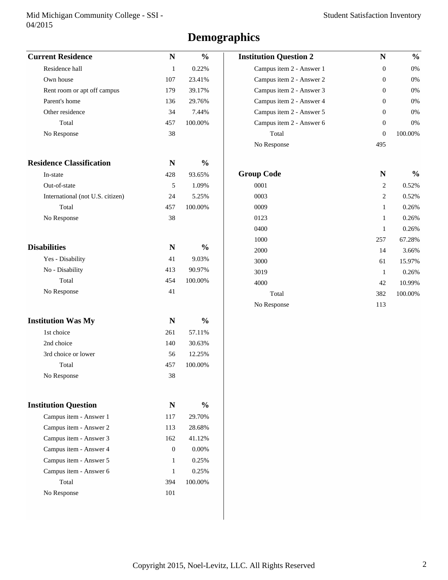#### Mid Michigan Community College - SSI - 04/2015

# **Demographics**

| <b>Current Residence</b>         | $\mathbf N$    | $\frac{0}{0}$ | <b>Institution Question 2</b> | ${\bf N}$        | $\frac{0}{0}$ |
|----------------------------------|----------------|---------------|-------------------------------|------------------|---------------|
| Residence hall                   | $\mathbf{1}$   | 0.22%         | Campus item 2 - Answer 1      | $\boldsymbol{0}$ | $0\%$         |
| Own house                        | 107            | 23.41%        | Campus item 2 - Answer 2      | $\boldsymbol{0}$ | 0%            |
| Rent room or apt off campus      | 179            | 39.17%        | Campus item 2 - Answer 3      | 0                | $0\%$         |
| Parent's home                    | 136            | 29.76%        | Campus item 2 - Answer 4      | 0                | 0%            |
| Other residence                  | 34             | 7.44%         | Campus item 2 - Answer 5      | $\boldsymbol{0}$ | 0%            |
| Total                            | 457            | 100.00%       | Campus item 2 - Answer 6      | $\boldsymbol{0}$ | 0%            |
| No Response                      | 38             |               | Total                         | $\boldsymbol{0}$ | 100.00%       |
|                                  |                |               | No Response                   | 495              |               |
| <b>Residence Classification</b>  | N              | $\frac{0}{0}$ |                               |                  |               |
| In-state                         | 428            | 93.65%        | <b>Group Code</b>             | ${\bf N}$        | $\frac{0}{0}$ |
| Out-of-state                     | 5              | 1.09%         | 0001                          | $\overline{c}$   | 0.52%         |
| International (not U.S. citizen) | 24             | 5.25%         | 0003                          | $\overline{c}$   | 0.52%         |
| Total                            | 457            | 100.00%       | 0009                          | $\mathbf{1}$     | 0.26%         |
| No Response                      | 38             |               | 0123                          | $\mathbf{1}$     | 0.26%         |
|                                  |                |               | 0400                          | $\mathbf{1}$     | 0.26%         |
|                                  |                |               | 1000                          | 257              | 67.28%        |
| <b>Disabilities</b>              | $\mathbf N$    | $\frac{0}{0}$ | 2000                          | 14               | 3.66%         |
| Yes - Disability                 | 41             | 9.03%         | 3000                          | 61               | 15.97%        |
| No - Disability                  | 413            | 90.97%        | 3019                          | $\mathbf{1}$     | 0.26%         |
| Total                            | 454            | 100.00%       | 4000                          | 42               | 10.99%        |
| No Response                      | 41             |               | Total                         | 382              | 100.00%       |
|                                  |                |               | No Response                   | 113              |               |
| <b>Institution Was My</b>        | $\mathbf N$    | $\frac{0}{0}$ |                               |                  |               |
| 1st choice                       | 261            | 57.11%        |                               |                  |               |
| 2nd choice                       | 140            | 30.63%        |                               |                  |               |
| 3rd choice or lower              | 56             | 12.25%        |                               |                  |               |
| Total                            | 457            | 100.00%       |                               |                  |               |
| No Response                      | 38             |               |                               |                  |               |
| <b>Institution Question</b>      | $\mathbf N$    | $\frac{0}{0}$ |                               |                  |               |
| Campus item - Answer 1           | 117            | 29.70%        |                               |                  |               |
| Campus item - Answer 2           | 113            | 28.68%        |                               |                  |               |
| Campus item - Answer 3           | 162            | 41.12%        |                               |                  |               |
| Campus item - Answer 4           | $\overline{0}$ | $0.00\%$      |                               |                  |               |
| Campus item - Answer 5           | 1              | 0.25%         |                               |                  |               |
| Campus item - Answer 6           | 1              | 0.25%         |                               |                  |               |
| Total                            | 394            | 100.00%       |                               |                  |               |
| No Response                      | 101            |               |                               |                  |               |
|                                  |                |               |                               |                  |               |
|                                  |                |               |                               |                  |               |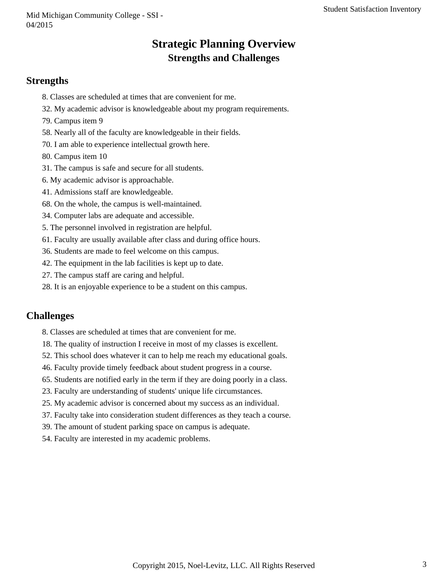## **Strategic Planning Overview Strengths and Challenges**

#### **Strengths**

- 8. Classes are scheduled at times that are convenient for me.
- 32. My academic advisor is knowledgeable about my program requirements.
- 79. Campus item 9
- 58. Nearly all of the faculty are knowledgeable in their fields.
- 70. I am able to experience intellectual growth here.
- 80. Campus item 10
- 31. The campus is safe and secure for all students.
- 6. My academic advisor is approachable.
- 41. Admissions staff are knowledgeable.
- 68. On the whole, the campus is well-maintained.
- 34. Computer labs are adequate and accessible.
- 5. The personnel involved in registration are helpful.
- 61. Faculty are usually available after class and during office hours.
- 36. Students are made to feel welcome on this campus.
- 42. The equipment in the lab facilities is kept up to date.
- 27. The campus staff are caring and helpful.
- 28. It is an enjoyable experience to be a student on this campus.

### **Challenges**

- 8. Classes are scheduled at times that are convenient for me.
- 18. The quality of instruction I receive in most of my classes is excellent.
- 52. This school does whatever it can to help me reach my educational goals.
- 46. Faculty provide timely feedback about student progress in a course.
- 65. Students are notified early in the term if they are doing poorly in a class.
- 23. Faculty are understanding of students' unique life circumstances.
- 25. My academic advisor is concerned about my success as an individual.
- 37. Faculty take into consideration student differences as they teach a course.
- 39. The amount of student parking space on campus is adequate.
- 54. Faculty are interested in my academic problems.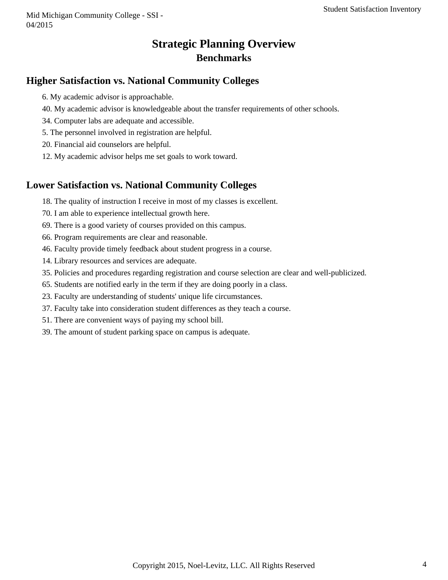Mid Michigan Community College - SSI - 04/2015

## **Strategic Planning Overview Benchmarks**

### **Higher Satisfaction vs. National Community Colleges**

- 6. My academic advisor is approachable.
- 40. My academic advisor is knowledgeable about the transfer requirements of other schools.
- 34. Computer labs are adequate and accessible.
- 5. The personnel involved in registration are helpful.
- 20. Financial aid counselors are helpful.
- 12. My academic advisor helps me set goals to work toward.

### **Lower Satisfaction vs. National Community Colleges**

- 18. The quality of instruction I receive in most of my classes is excellent.
- 70. I am able to experience intellectual growth here.
- 69. There is a good variety of courses provided on this campus.
- 66. Program requirements are clear and reasonable.
- 46. Faculty provide timely feedback about student progress in a course.
- 14. Library resources and services are adequate.
- 35. Policies and procedures regarding registration and course selection are clear and well-publicized.
- 65. Students are notified early in the term if they are doing poorly in a class.
- 23. Faculty are understanding of students' unique life circumstances.
- 37. Faculty take into consideration student differences as they teach a course.
- 51. There are convenient ways of paying my school bill.
- 39. The amount of student parking space on campus is adequate.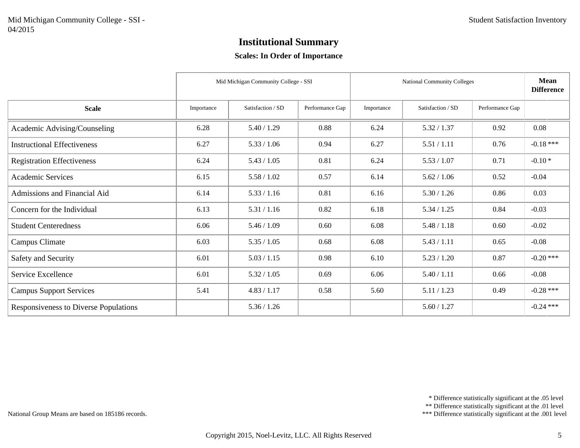#### **Scales: In Order of Importance**

|                                       |            | Mid Michigan Community College - SSI |                 |            | National Community Colleges |                 |             |  |
|---------------------------------------|------------|--------------------------------------|-----------------|------------|-----------------------------|-----------------|-------------|--|
| <b>Scale</b>                          | Importance | Satisfaction / SD                    | Performance Gap | Importance | Satisfaction / SD           | Performance Gap |             |  |
| Academic Advising/Counseling          | 6.28       | 5.40 / 1.29                          | 0.88            | 6.24       | 5.32 / 1.37                 | 0.92            | 0.08        |  |
| <b>Instructional Effectiveness</b>    | 6.27       | 5.33 / 1.06                          | 0.94            | 6.27       | 5.51 / 1.11                 | 0.76            | $-0.18***$  |  |
| <b>Registration Effectiveness</b>     | 6.24       | 5.43 / 1.05                          | 0.81            | 6.24       | 5.53 / 1.07                 | 0.71            | $-0.10*$    |  |
| <b>Academic Services</b>              | 6.15       | 5.58 / 1.02                          | 0.57            | 6.14       | 5.62 / 1.06                 | 0.52            | $-0.04$     |  |
| Admissions and Financial Aid          | 6.14       | 5.33 / 1.16                          | 0.81            | 6.16       | 5.30 / 1.26                 | 0.86            | 0.03        |  |
| Concern for the Individual            | 6.13       | 5.31 / 1.16                          | 0.82            | 6.18       | 5.34 / 1.25                 | 0.84            | $-0.03$     |  |
| <b>Student Centeredness</b>           | 6.06       | 5.46 / 1.09                          | 0.60            | 6.08       | 5.48 / 1.18                 | 0.60            | $-0.02$     |  |
| Campus Climate                        | 6.03       | 5.35 / 1.05                          | 0.68            | 6.08       | 5.43 / 1.11                 | 0.65            | $-0.08$     |  |
| Safety and Security                   | 6.01       | 5.03 / 1.15                          | 0.98            | 6.10       | 5.23 / 1.20                 | 0.87            | $-0.20$ *** |  |
| Service Excellence                    | 6.01       | 5.32 / 1.05                          | 0.69            | 6.06       | 5.40 / 1.11                 | 0.66            | $-0.08$     |  |
| <b>Campus Support Services</b>        | 5.41       | 4.83 / 1.17                          | 0.58            | 5.60       | 5.11 / 1.23                 | 0.49            | $-0.28$ *** |  |
| Responsiveness to Diverse Populations |            | 5.36 / 1.26                          |                 |            | 5.60 / 1.27                 |                 | $-0.24$ *** |  |

\*\* Difference statistically significant at the .01 level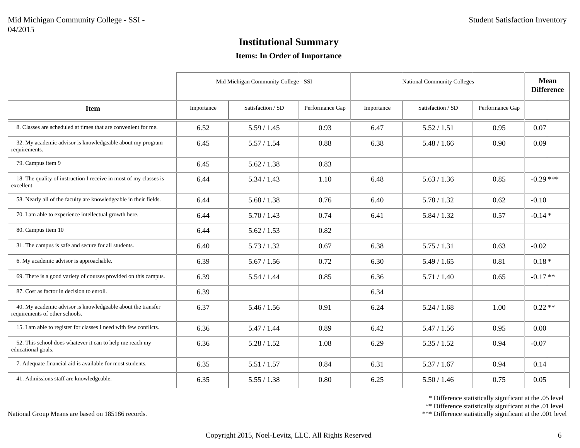#### **Items: In Order of Importance**

|                                                                                               |            | Mid Michigan Community College - SSI |                 |            | <b>National Community Colleges</b> |                 | <b>Mean</b><br><b>Difference</b> |
|-----------------------------------------------------------------------------------------------|------------|--------------------------------------|-----------------|------------|------------------------------------|-----------------|----------------------------------|
| <b>Item</b>                                                                                   | Importance | Satisfaction / SD                    | Performance Gap | Importance | Satisfaction / SD                  | Performance Gap |                                  |
| 8. Classes are scheduled at times that are convenient for me.                                 | 6.52       | 5.59 / 1.45                          | 0.93            | 6.47       | 5.52 / 1.51                        | 0.95            | 0.07                             |
| 32. My academic advisor is knowledgeable about my program<br>requirements.                    | 6.45       | 5.57 / 1.54                          | 0.88            | 6.38       | 5.48 / 1.66                        | 0.90            | 0.09                             |
| 79. Campus item 9                                                                             | 6.45       | 5.62 / 1.38                          | 0.83            |            |                                    |                 |                                  |
| 18. The quality of instruction I receive in most of my classes is<br>excellent.               | 6.44       | 5.34 / 1.43                          | 1.10            | 6.48       | 5.63 / 1.36                        | 0.85            | $-0.29$ ***                      |
| 58. Nearly all of the faculty are knowledgeable in their fields.                              | 6.44       | 5.68 / 1.38                          | 0.76            | 6.40       | 5.78 / 1.32                        | 0.62            | $-0.10$                          |
| 70. I am able to experience intellectual growth here.                                         | 6.44       | 5.70 / 1.43                          | 0.74            | 6.41       | 5.84 / 1.32                        | 0.57            | $-0.14*$                         |
| 80. Campus item 10                                                                            | 6.44       | 5.62 / 1.53                          | 0.82            |            |                                    |                 |                                  |
| 31. The campus is safe and secure for all students.                                           | 6.40       | 5.73 / 1.32                          | 0.67            | 6.38       | 5.75/1.31                          | 0.63            | $-0.02$                          |
| 6. My academic advisor is approachable.                                                       | 6.39       | 5.67 / 1.56                          | 0.72            | 6.30       | 5.49 / 1.65                        | 0.81            | $0.18*$                          |
| 69. There is a good variety of courses provided on this campus.                               | 6.39       | 5.54 / 1.44                          | 0.85            | 6.36       | 5.71/1.40                          | 0.65            | $-0.17**$                        |
| 87. Cost as factor in decision to enroll.                                                     | 6.39       |                                      |                 | 6.34       |                                    |                 |                                  |
| 40. My academic advisor is knowledgeable about the transfer<br>requirements of other schools. | 6.37       | 5.46 / 1.56                          | 0.91            | 6.24       | 5.24 / 1.68                        | 1.00            | $0.22**$                         |
| 15. I am able to register for classes I need with few conflicts.                              | 6.36       | 5.47 / 1.44                          | 0.89            | 6.42       | 5.47 / 1.56                        | 0.95            | 0.00                             |
| 52. This school does whatever it can to help me reach my<br>educational goals.                | 6.36       | 5.28 / 1.52                          | 1.08            | 6.29       | 5.35 / 1.52                        | 0.94            | $-0.07$                          |
| 7. Adequate financial aid is available for most students.                                     | 6.35       | 5.51 / 1.57                          | 0.84            | 6.31       | 5.37 / 1.67                        | 0.94            | 0.14                             |
| 41. Admissions staff are knowledgeable.                                                       | 6.35       | 5.55 / 1.38                          | 0.80            | 6.25       | 5.50 / 1.46                        | 0.75            | 0.05                             |

\* Difference statistically significant at the .05 level

\*\* Difference statistically significant at the .01 level

\*\*\* Difference statistically significant at the .001 level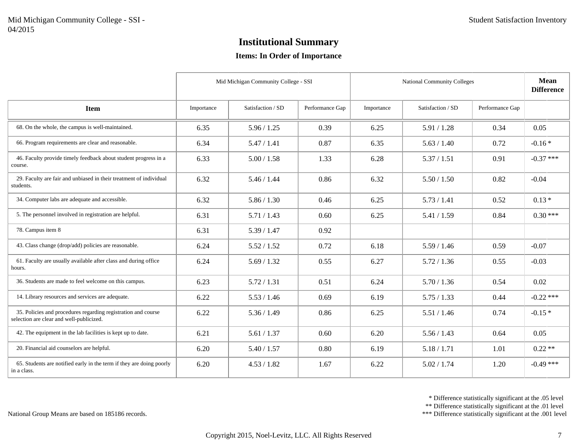#### **Items: In Order of Importance**

|                                                                                                           |            | Mid Michigan Community College - SSI |                 |            | <b>National Community Colleges</b> |                 | <b>Mean</b><br><b>Difference</b> |
|-----------------------------------------------------------------------------------------------------------|------------|--------------------------------------|-----------------|------------|------------------------------------|-----------------|----------------------------------|
| <b>Item</b>                                                                                               | Importance | Satisfaction / SD                    | Performance Gap | Importance | Satisfaction / SD                  | Performance Gap |                                  |
| 68. On the whole, the campus is well-maintained.                                                          | 6.35       | 5.96 / 1.25                          | 0.39            | 6.25       | 5.91 / 1.28                        | 0.34            | 0.05                             |
| 66. Program requirements are clear and reasonable.                                                        | 6.34       | 5.47 / 1.41                          | 0.87            | 6.35       | 5.63 / 1.40                        | 0.72            | $-0.16*$                         |
| 46. Faculty provide timely feedback about student progress in a<br>course.                                | 6.33       | 5.00 / 1.58                          | 1.33            | 6.28       | 5.37 / 1.51                        | 0.91            | $-0.37$ ***                      |
| 29. Faculty are fair and unbiased in their treatment of individual<br>students.                           | 6.32       | 5.46 / 1.44                          | 0.86            | 6.32       | 5.50 / 1.50                        | 0.82            | $-0.04$                          |
| 34. Computer labs are adequate and accessible.                                                            | 6.32       | 5.86 / 1.30                          | 0.46            | 6.25       | 5.73 / 1.41                        | 0.52            | $0.13*$                          |
| 5. The personnel involved in registration are helpful.                                                    | 6.31       | 5.71/1.43                            | 0.60            | 6.25       | 5.41 / 1.59                        | 0.84            | $0.30***$                        |
| 78. Campus item 8                                                                                         | 6.31       | 5.39 / 1.47                          | 0.92            |            |                                    |                 |                                  |
| 43. Class change (drop/add) policies are reasonable.                                                      | 6.24       | 5.52 / 1.52                          | 0.72            | 6.18       | 5.59/1.46                          | 0.59            | $-0.07$                          |
| 61. Faculty are usually available after class and during office<br>hours.                                 | 6.24       | 5.69 / 1.32                          | 0.55            | 6.27       | 5.72 / 1.36                        | 0.55            | $-0.03$                          |
| 36. Students are made to feel welcome on this campus.                                                     | 6.23       | 5.72 / 1.31                          | 0.51            | 6.24       | 5.70 / 1.36                        | 0.54            | 0.02                             |
| 14. Library resources and services are adequate.                                                          | 6.22       | 5.53 / 1.46                          | 0.69            | 6.19       | 5.75/1.33                          | 0.44            | $-0.22$ ***                      |
| 35. Policies and procedures regarding registration and course<br>selection are clear and well-publicized. | 6.22       | 5.36 / 1.49                          | 0.86            | 6.25       | 5.51 / 1.46                        | 0.74            | $-0.15*$                         |
| 42. The equipment in the lab facilities is kept up to date.                                               | 6.21       | 5.61 / 1.37                          | 0.60            | 6.20       | 5.56 / 1.43                        | 0.64            | 0.05                             |
| 20. Financial aid counselors are helpful.                                                                 | 6.20       | 5.40 / 1.57                          | 0.80            | 6.19       | 5.18 / 1.71                        | 1.01            | $0.22**$                         |
| 65. Students are notified early in the term if they are doing poorly<br>in a class.                       | 6.20       | 4.53 / 1.82                          | 1.67            | 6.22       | 5.02 / 1.74                        | 1.20            | $-0.49$ ***                      |

\* Difference statistically significant at the .05 level

\*\* Difference statistically significant at the .01 level

\*\*\* Difference statistically significant at the .001 level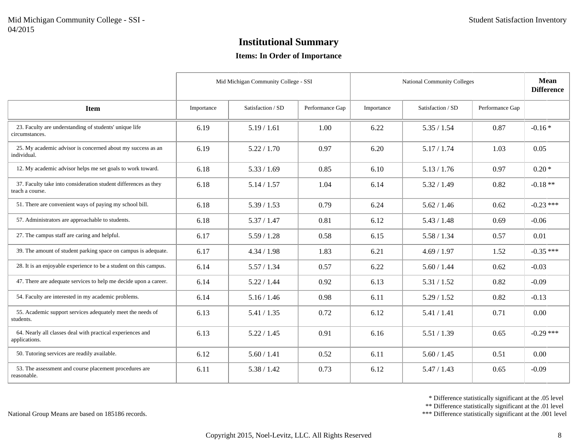#### **Items: In Order of Importance**

|                                                                                    |            | Mid Michigan Community College - SSI |                 |            | <b>National Community Colleges</b> |                 |             |
|------------------------------------------------------------------------------------|------------|--------------------------------------|-----------------|------------|------------------------------------|-----------------|-------------|
| <b>Item</b>                                                                        | Importance | Satisfaction / SD                    | Performance Gap | Importance | Satisfaction / SD                  | Performance Gap |             |
| 23. Faculty are understanding of students' unique life<br>circumstances.           | 6.19       | 5.19/1.61                            | 1.00            | 6.22       | 5.35 / 1.54                        | 0.87            | $-0.16*$    |
| 25. My academic advisor is concerned about my success as an<br>individual.         | 6.19       | 5.22 / 1.70                          | 0.97            | 6.20       | 5.17 / 1.74                        | 1.03            | 0.05        |
| 12. My academic advisor helps me set goals to work toward.                         | 6.18       | 5.33 / 1.69                          | 0.85            | 6.10       | 5.13 / 1.76                        | 0.97            | $0.20*$     |
| 37. Faculty take into consideration student differences as they<br>teach a course. | 6.18       | 5.14 / 1.57                          | 1.04            | 6.14       | 5.32 / 1.49                        | 0.82            | $-0.18**$   |
| 51. There are convenient ways of paying my school bill.                            | 6.18       | 5.39/1.53                            | 0.79            | 6.24       | 5.62 / 1.46                        | 0.62            | $-0.23$ *** |
| 57. Administrators are approachable to students.                                   | 6.18       | 5.37 / 1.47                          | 0.81            | 6.12       | 5.43 / 1.48                        | 0.69            | $-0.06$     |
| 27. The campus staff are caring and helpful.                                       | 6.17       | 5.59 / 1.28                          | 0.58            | 6.15       | 5.58 / 1.34                        | 0.57            | 0.01        |
| 39. The amount of student parking space on campus is adequate.                     | 6.17       | 4.34 / 1.98                          | 1.83            | 6.21       | 4.69 / 1.97                        | 1.52            | $-0.35$ *** |
| 28. It is an enjoyable experience to be a student on this campus.                  | 6.14       | 5.57 / 1.34                          | 0.57            | 6.22       | 5.60 / 1.44                        | 0.62            | $-0.03$     |
| 47. There are adequate services to help me decide upon a career.                   | 6.14       | 5.22 / 1.44                          | 0.92            | 6.13       | 5.31 / 1.52                        | 0.82            | $-0.09$     |
| 54. Faculty are interested in my academic problems.                                | 6.14       | 5.16 / 1.46                          | 0.98            | 6.11       | 5.29 / 1.52                        | 0.82            | $-0.13$     |
| 55. Academic support services adequately meet the needs of<br>students.            | 6.13       | 5.41 / 1.35                          | 0.72            | 6.12       | 5.41 / 1.41                        | 0.71            | 0.00        |
| 64. Nearly all classes deal with practical experiences and<br>applications.        | 6.13       | 5.22 / 1.45                          | 0.91            | 6.16       | 5.51/1.39                          | 0.65            | $-0.29$ *** |
| 50. Tutoring services are readily available.                                       | 6.12       | 5.60 / 1.41                          | 0.52            | 6.11       | 5.60 / 1.45                        | 0.51            | 0.00        |
| 53. The assessment and course placement procedures are<br>reasonable.              | 6.11       | 5.38 / 1.42                          | 0.73            | 6.12       | 5.47 / 1.43                        | 0.65            | $-0.09$     |

\* Difference statistically significant at the .05 level

\*\* Difference statistically significant at the .01 level

\*\*\* Difference statistically significant at the .001 level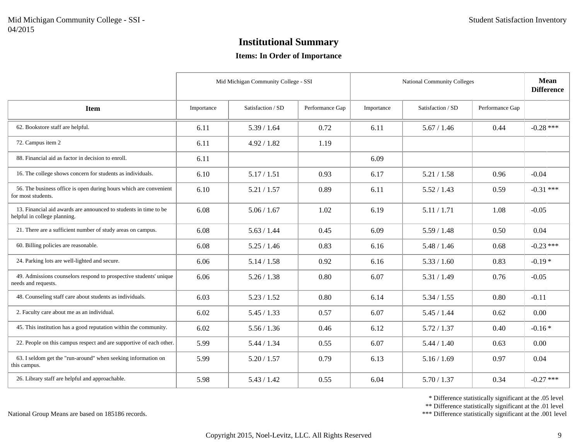#### **Items: In Order of Importance**

|                                                                                                  |            | Mid Michigan Community College - SSI |                 |            | <b>National Community Colleges</b> |                 | <b>Mean</b><br><b>Difference</b> |
|--------------------------------------------------------------------------------------------------|------------|--------------------------------------|-----------------|------------|------------------------------------|-----------------|----------------------------------|
| <b>Item</b>                                                                                      | Importance | Satisfaction / SD                    | Performance Gap | Importance | Satisfaction / SD                  | Performance Gap |                                  |
| 62. Bookstore staff are helpful.                                                                 | 6.11       | 5.39 / 1.64                          | 0.72            | 6.11       | 5.67 / 1.46                        | 0.44            | $-0.28$ ***                      |
| 72. Campus item 2                                                                                | 6.11       | 4.92 / 1.82                          | 1.19            |            |                                    |                 |                                  |
| 88. Financial aid as factor in decision to enroll.                                               | 6.11       |                                      |                 | 6.09       |                                    |                 |                                  |
| 16. The college shows concern for students as individuals.                                       | 6.10       | 5.17 / 1.51                          | 0.93            | 6.17       | 5.21 / 1.58                        | 0.96            | $-0.04$                          |
| 56. The business office is open during hours which are convenient<br>for most students.          | 6.10       | 5.21 / 1.57                          | 0.89            | 6.11       | 5.52 / 1.43                        | 0.59            | $-0.31$ ***                      |
| 13. Financial aid awards are announced to students in time to be<br>helpful in college planning. | 6.08       | 5.06 / 1.67                          | 1.02            | 6.19       | 5.11/1.71                          | 1.08            | $-0.05$                          |
| 21. There are a sufficient number of study areas on campus.                                      | 6.08       | 5.63 / 1.44                          | 0.45            | 6.09       | 5.59/1.48                          | 0.50            | 0.04                             |
| 60. Billing policies are reasonable.                                                             | 6.08       | 5.25/1.46                            | 0.83            | 6.16       | 5.48 / 1.46                        | 0.68            | $-0.23$ ***                      |
| 24. Parking lots are well-lighted and secure.                                                    | 6.06       | 5.14 / 1.58                          | 0.92            | 6.16       | 5.33 / 1.60                        | 0.83            | $-0.19*$                         |
| 49. Admissions counselors respond to prospective students' unique<br>needs and requests.         | 6.06       | 5.26 / 1.38                          | 0.80            | 6.07       | 5.31 / 1.49                        | 0.76            | $-0.05$                          |
| 48. Counseling staff care about students as individuals.                                         | 6.03       | 5.23 / 1.52                          | 0.80            | 6.14       | 5.34 / 1.55                        | 0.80            | $-0.11$                          |
| 2. Faculty care about me as an individual.                                                       | 6.02       | 5.45 / 1.33                          | 0.57            | 6.07       | 5.45 / 1.44                        | 0.62            | 0.00                             |
| 45. This institution has a good reputation within the community.                                 | 6.02       | 5.56 / 1.36                          | 0.46            | 6.12       | 5.72 / 1.37                        | 0.40            | $-0.16*$                         |
| 22. People on this campus respect and are supportive of each other.                              | 5.99       | 5.44 / 1.34                          | 0.55            | 6.07       | 5.44 / 1.40                        | 0.63            | 0.00                             |
| 63. I seldom get the "run-around" when seeking information on<br>this campus.                    | 5.99       | 5.20 / 1.57                          | 0.79            | 6.13       | 5.16 / 1.69                        | 0.97            | 0.04                             |
| 26. Library staff are helpful and approachable.                                                  | 5.98       | 5.43 / 1.42                          | 0.55            | 6.04       | 5.70/1.37                          | 0.34            | $-0.27$ ***                      |

\* Difference statistically significant at the .05 level

\*\* Difference statistically significant at the .01 level

\*\*\* Difference statistically significant at the .001 level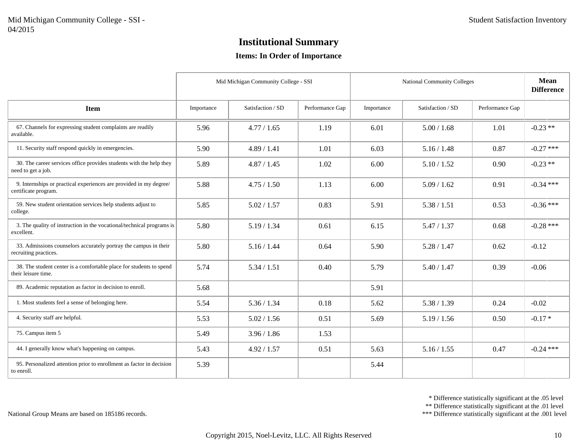#### **Items: In Order of Importance**

|                                                                                            |            | Mid Michigan Community College - SSI |                 |            | <b>National Community Colleges</b> |                 | <b>Mean</b><br><b>Difference</b> |
|--------------------------------------------------------------------------------------------|------------|--------------------------------------|-----------------|------------|------------------------------------|-----------------|----------------------------------|
| <b>Item</b>                                                                                | Importance | Satisfaction / SD                    | Performance Gap | Importance | Satisfaction / SD                  | Performance Gap |                                  |
| 67. Channels for expressing student complaints are readily<br>available.                   | 5.96       | 4.77 / 1.65                          | 1.19            | 6.01       | 5.00 / 1.68                        | 1.01            | $-0.23**$                        |
| 11. Security staff respond quickly in emergencies.                                         | 5.90       | 4.89 / 1.41                          | 1.01            | 6.03       | 5.16 / 1.48                        | 0.87            | $-0.27$ ***                      |
| 30. The career services office provides students with the help they<br>need to get a job.  | 5.89       | 4.87 / 1.45                          | 1.02            | 6.00       | 5.10 / 1.52                        | 0.90            | $-0.23$ **                       |
| 9. Internships or practical experiences are provided in my degree/<br>certificate program. | 5.88       | 4.75/1.50                            | 1.13            | 6.00       | 5.09/1.62                          | 0.91            | $-0.34$ ***                      |
| 59. New student orientation services help students adjust to<br>college.                   | 5.85       | 5.02 / 1.57                          | 0.83            | 5.91       | 5.38 / 1.51                        | 0.53            | $-0.36$ ***                      |
| 3. The quality of instruction in the vocational/technical programs is<br>excellent.        | 5.80       | 5.19 / 1.34                          | 0.61            | 6.15       | 5.47 / 1.37                        | 0.68            | $-0.28$ ***                      |
| 33. Admissions counselors accurately portray the campus in their<br>recruiting practices.  | 5.80       | 5.16/1.44                            | 0.64            | 5.90       | 5.28 / 1.47                        | 0.62            | $-0.12$                          |
| 38. The student center is a comfortable place for students to spend<br>their leisure time. | 5.74       | 5.34 / 1.51                          | 0.40            | 5.79       | 5.40 / 1.47                        | 0.39            | $-0.06$                          |
| 89. Academic reputation as factor in decision to enroll.                                   | 5.68       |                                      |                 | 5.91       |                                    |                 |                                  |
| 1. Most students feel a sense of belonging here.                                           | 5.54       | 5.36 / 1.34                          | 0.18            | 5.62       | 5.38 / 1.39                        | 0.24            | $-0.02$                          |
| 4. Security staff are helpful.                                                             | 5.53       | 5.02 / 1.56                          | 0.51            | 5.69       | 5.19 / 1.56                        | 0.50            | $-0.17*$                         |
| 75. Campus item 5                                                                          | 5.49       | 3.96 / 1.86                          | 1.53            |            |                                    |                 |                                  |
| 44. I generally know what's happening on campus.                                           | 5.43       | 4.92 / 1.57                          | 0.51            | 5.63       | 5.16 / 1.55                        | 0.47            | $-0.24$ ***                      |
| 95. Personalized attention prior to enrollment as factor in decision<br>to enroll.         | 5.39       |                                      |                 | 5.44       |                                    |                 |                                  |

\* Difference statistically significant at the .05 level

\*\* Difference statistically significant at the .01 level

\*\*\* Difference statistically significant at the .001 level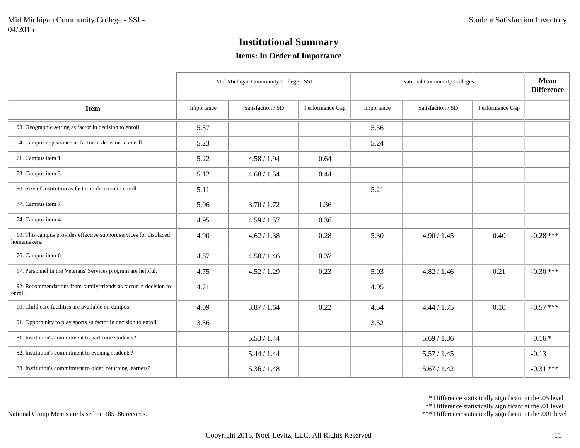#### **Items: In Order of Importance**

|                                                                                  |            | Mid Michigan Community College - SSI |                 |            | National Community Colleges |                 | Mean<br><b>Difference</b> |
|----------------------------------------------------------------------------------|------------|--------------------------------------|-----------------|------------|-----------------------------|-----------------|---------------------------|
| <b>Item</b>                                                                      | Importance | Satisfaction / SD                    | Performance Gap | Importance | Satisfaction / SD           | Performance Gap |                           |
| 93. Geographic setting as factor in decision to enroll.                          | 5.37       |                                      |                 | 5.56       |                             |                 |                           |
| 94. Campus appearance as factor in decision to enroll.                           | 5.23       |                                      |                 | 5.24       |                             |                 |                           |
| 71. Campus item 1                                                                | 5.22       | 4.58 / 1.94                          | 0.64            |            |                             |                 |                           |
| 73. Campus item 3                                                                | 5.12       | 4.68 / 1.54                          | 0.44            |            |                             |                 |                           |
| 90. Size of institution as factor in decision to enroll.                         | 5.11       |                                      |                 | 5.21       |                             |                 |                           |
| 77. Campus item 7                                                                | 5.06       | 3.70 / 1.72                          | 1.36            |            |                             |                 |                           |
| 74. Campus item 4                                                                | 4.95       | 4.59 / 1.57                          | 0.36            |            |                             |                 |                           |
| 19. This campus provides effective support services for displaced<br>homemakers. | 4.90       | 4.62 / 1.38                          | 0.28            | 5.30       | 4.90 / 1.45                 | 0.40            | $-0.28$ ***               |
| 76. Campus item 6                                                                | 4.87       | 4.50 / 1.46                          | 0.37            |            |                             |                 |                           |
| 17. Personnel in the Veterans' Services program are helpful.                     | 4.75       | 4.52 / 1.29                          | 0.23            | 5.03       | 4.82 / 1.46                 | 0.21            | $-0.30$ ***               |
| 92. Recommendations from family/friends as factor in decision to<br>enroll.      | 4.71       |                                      |                 | 4.95       |                             |                 |                           |
| 10. Child care facilities are available on campus.                               | 4.09       | 3.87 / 1.64                          | 0.22            | 4.54       | 4.44 / 1.75                 | 0.10            | $-0.57$ ***               |
| 91. Opportunity to play sports as factor in decision to enroll.                  | 3.36       |                                      |                 | 3.52       |                             |                 |                           |
| 81. Institution's commitment to part-time students?                              |            | 5.53 / 1.44                          |                 |            | 5.69 / 1.36                 |                 | $-0.16*$                  |
| 82. Institution's commitment to evening students?                                |            | 5.44 / 1.44                          |                 |            | 5.57/1.45                   |                 | $-0.13$                   |
| 83. Institution's commitment to older, returning learners?                       |            | 5.36 / 1.48                          |                 |            | 5.67 / 1.42                 |                 | $-0.31$ ***               |

\* Difference statistically significant at the .05 level

\*\* Difference statistically significant at the .01 level

\*\*\* Difference statistically significant at the .001 level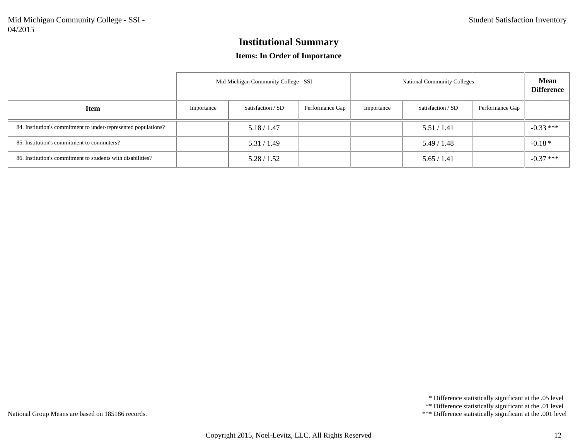#### **Items: In Order of Importance**

|                                                                |            | Mid Michigan Community College - SSI |                 | <b>National Community Colleges</b> | <b>Mean</b><br><b>Difference</b> |                 |             |
|----------------------------------------------------------------|------------|--------------------------------------|-----------------|------------------------------------|----------------------------------|-----------------|-------------|
| <b>Item</b>                                                    | Importance | Satisfaction / SD                    | Performance Gap | Importance                         | Satisfaction / SD                | Performance Gap |             |
| 84. Institution's commitment to under-represented populations? |            | 5.18 / 1.47                          |                 |                                    | 5.51/1.41                        |                 | $-0.33$ *** |
| 85. Institution's commitment to commuters?                     |            | 5.31 / 1.49                          |                 |                                    | 5.49/1.48                        |                 | $-0.18*$    |
| 86. Institution's commitment to students with disabilities?    |            | 5.28 / 1.52                          |                 |                                    | 5.65/1.41                        |                 | $-0.37$ *** |

\* Difference statistically significant at the .05 level

\*\* Difference statistically significant at the .01 level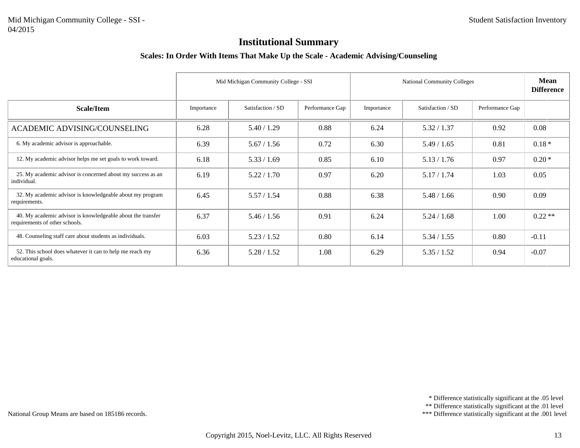#### **Scales: In Order With Items That Make Up the Scale - Academic Advising/Counseling**

|                                                                                               |            | Mid Michigan Community College - SSI |                 |            | <b>National Community Colleges</b> |                 |          |  |
|-----------------------------------------------------------------------------------------------|------------|--------------------------------------|-----------------|------------|------------------------------------|-----------------|----------|--|
| Scale/Item                                                                                    | Importance | Satisfaction / SD                    | Performance Gap | Importance | Satisfaction / SD                  | Performance Gap |          |  |
| <b>ACADEMIC ADVISING/COUNSELING</b>                                                           | 6.28       | 5.40 / 1.29                          | 0.88            | 6.24       | 5.32 / 1.37                        | 0.92            | 0.08     |  |
| 6. My academic advisor is approachable.                                                       | 6.39       | 5.67 / 1.56                          | 0.72            | 6.30       | 5.49 / 1.65                        | 0.81            | $0.18*$  |  |
| 12. My academic advisor helps me set goals to work toward.                                    | 6.18       | 5.33 / 1.69                          | 0.85            | 6.10       | 5.13 / 1.76                        | 0.97            | $0.20*$  |  |
| 25. My academic advisor is concerned about my success as an<br>individual.                    | 6.19       | 5.22 / 1.70                          | 0.97            | 6.20       | 5.17 / 1.74                        | 1.03            | 0.05     |  |
| 32. My academic advisor is knowledgeable about my program<br>requirements.                    | 6.45       | 5.57/1.54                            | 0.88            | 6.38       | 5.48 / 1.66                        | 0.90            | 0.09     |  |
| 40. My academic advisor is knowledgeable about the transfer<br>requirements of other schools. | 6.37       | 5.46 / 1.56                          | 0.91            | 6.24       | 5.24 / 1.68                        | 1.00            | $0.22**$ |  |
| 48. Counseling staff care about students as individuals.                                      | 6.03       | 5.23 / 1.52                          | 0.80            | 6.14       | 5.34 / 1.55                        | 0.80            | $-0.11$  |  |
| 52. This school does whatever it can to help me reach my<br>educational goals.                | 6.36       | 5.28 / 1.52                          | 1.08            | 6.29       | 5.35 / 1.52                        | 0.94            | $-0.07$  |  |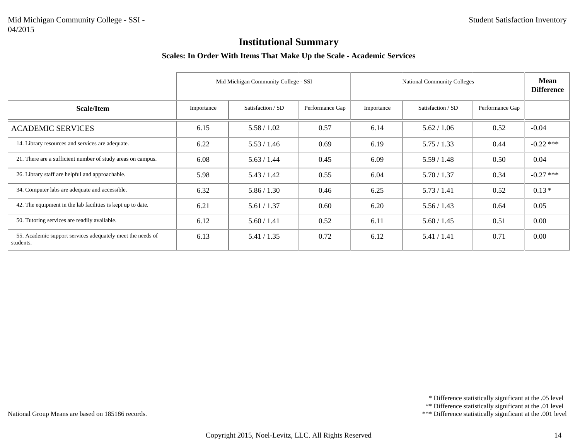#### **Scales: In Order With Items That Make Up the Scale - Academic Services**

|                                                                         | Mid Michigan Community College - SSI<br><b>National Community Colleges</b> |                   |                 |            |                   | <b>Mean</b><br><b>Difference</b> |             |
|-------------------------------------------------------------------------|----------------------------------------------------------------------------|-------------------|-----------------|------------|-------------------|----------------------------------|-------------|
| <b>Scale/Item</b>                                                       | Importance                                                                 | Satisfaction / SD | Performance Gap | Importance | Satisfaction / SD | Performance Gap                  |             |
| <b>ACADEMIC SERVICES</b>                                                | 6.15                                                                       | 5.58 / 1.02       | 0.57            | 6.14       | 5.62 / 1.06       | 0.52                             | $-0.04$     |
| 14. Library resources and services are adequate.                        | 6.22                                                                       | 5.53 / 1.46       | 0.69            | 6.19       | 5.75/1.33         | 0.44                             | $-0.22$ *** |
| 21. There are a sufficient number of study areas on campus.             | 6.08                                                                       | 5.63 / 1.44       | 0.45            | 6.09       | 5.59/1.48         | 0.50                             | 0.04        |
| 26. Library staff are helpful and approachable.                         | 5.98                                                                       | 5.43 / 1.42       | 0.55            | 6.04       | 5.70/1.37         | 0.34                             | $-0.27$ *** |
| 34. Computer labs are adequate and accessible.                          | 6.32                                                                       | 5.86 / 1.30       | 0.46            | 6.25       | 5.73/1.41         | 0.52                             | $0.13*$     |
| 42. The equipment in the lab facilities is kept up to date.             | 6.21                                                                       | 5.61 / 1.37       | 0.60            | 6.20       | 5.56 / 1.43       | 0.64                             | 0.05        |
| 50. Tutoring services are readily available.                            | 6.12                                                                       | 5.60 / 1.41       | 0.52            | 6.11       | 5.60 / 1.45       | 0.51                             | 0.00        |
| 55. Academic support services adequately meet the needs of<br>students. | 6.13                                                                       | 5.41 / 1.35       | 0.72            | 6.12       | 5.41 / 1.41       | 0.71                             | 0.00        |

\* Difference statistically significant at the .05 level

\*\* Difference statistically significant at the .01 level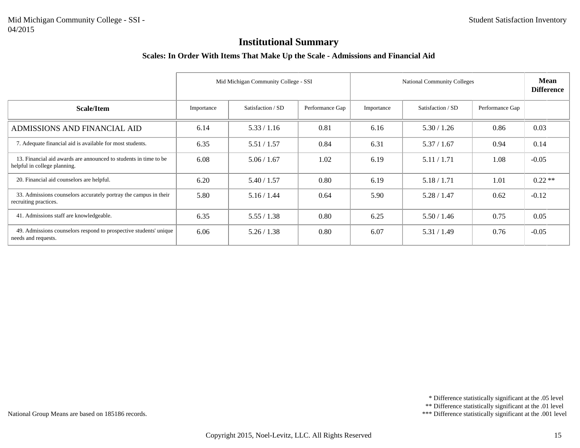#### **Scales: In Order With Items That Make Up the Scale - Admissions and Financial Aid**

|                                                                                                  |            | Mid Michigan Community College - SSI<br><b>National Community Colleges</b> |                 |            |                   |                 | Mean<br><b>Difference</b> |
|--------------------------------------------------------------------------------------------------|------------|----------------------------------------------------------------------------|-----------------|------------|-------------------|-----------------|---------------------------|
| Scale/Item                                                                                       | Importance | Satisfaction / SD                                                          | Performance Gap | Importance | Satisfaction / SD | Performance Gap |                           |
| ADMISSIONS AND FINANCIAL AID                                                                     | 6.14       | 5.33 / 1.16                                                                | 0.81            | 6.16       | 5.30 / 1.26       | 0.86            | 0.03                      |
| 7. Adequate financial aid is available for most students.                                        | 6.35       | 5.51 / 1.57                                                                | 0.84            | 6.31       | 5.37/1.67         | 0.94            | 0.14                      |
| 13. Financial aid awards are announced to students in time to be<br>helpful in college planning. | 6.08       | 5.06 / 1.67                                                                | 1.02            | 6.19       | 5.11/1.71         | 1.08            | $-0.05$                   |
| 20. Financial aid counselors are helpful.                                                        | 6.20       | 5.40 / 1.57                                                                | 0.80            | 6.19       | 5.18 / 1.71       | 1.01            | $0.22**$                  |
| 33. Admissions counselors accurately portray the campus in their<br>recruiting practices.        | 5.80       | 5.16 / 1.44                                                                | 0.64            | 5.90       | 5.28 / 1.47       | 0.62            | $-0.12$                   |
| 41. Admissions staff are knowledgeable.                                                          | 6.35       | 5.55/1.38                                                                  | 0.80            | 6.25       | 5.50 / 1.46       | 0.75            | 0.05                      |
| 49. Admissions counselors respond to prospective students' unique<br>needs and requests.         | 6.06       | 5.26 / 1.38                                                                | 0.80            | 6.07       | 5.31 / 1.49       | 0.76            | $-0.05$                   |

\* Difference statistically significant at the .05 level

\*\* Difference statistically significant at the .01 level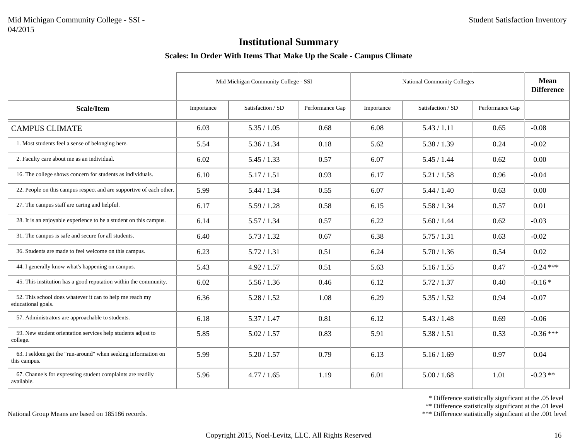#### **Scales: In Order With Items That Make Up the Scale - Campus Climate**

|                                                                                |            | Mid Michigan Community College - SSI |                 |            | <b>National Community Colleges</b> |                 |             |
|--------------------------------------------------------------------------------|------------|--------------------------------------|-----------------|------------|------------------------------------|-----------------|-------------|
| <b>Scale/Item</b>                                                              | Importance | Satisfaction / SD                    | Performance Gap | Importance | Satisfaction / SD                  | Performance Gap |             |
| <b>CAMPUS CLIMATE</b>                                                          | 6.03       | 5.35 / 1.05                          | 0.68            | 6.08       | 5.43 / 1.11                        | 0.65            | $-0.08$     |
| 1. Most students feel a sense of belonging here.                               | 5.54       | 5.36 / 1.34                          | 0.18            | 5.62       | 5.38 / 1.39                        | 0.24            | $-0.02$     |
| 2. Faculty care about me as an individual.                                     | 6.02       | 5.45 / 1.33                          | 0.57            | 6.07       | 5.45 / 1.44                        | 0.62            | 0.00        |
| 16. The college shows concern for students as individuals.                     | 6.10       | 5.17 / 1.51                          | 0.93            | 6.17       | 5.21 / 1.58                        | 0.96            | $-0.04$     |
| 22. People on this campus respect and are supportive of each other.            | 5.99       | 5.44 / 1.34                          | 0.55            | 6.07       | 5.44 / 1.40                        | 0.63            | 0.00        |
| 27. The campus staff are caring and helpful.                                   | 6.17       | 5.59/1.28                            | 0.58            | 6.15       | 5.58 / 1.34                        | 0.57            | 0.01        |
| 28. It is an enjoyable experience to be a student on this campus.              | 6.14       | 5.57 / 1.34                          | 0.57            | 6.22       | 5.60 / 1.44                        | 0.62            | $-0.03$     |
| 31. The campus is safe and secure for all students.                            | 6.40       | 5.73 / 1.32                          | 0.67            | 6.38       | 5.75/1.31                          | 0.63            | $-0.02$     |
| 36. Students are made to feel welcome on this campus.                          | 6.23       | 5.72 / 1.31                          | 0.51            | 6.24       | 5.70 / 1.36                        | 0.54            | 0.02        |
| 44. I generally know what's happening on campus.                               | 5.43       | 4.92 / 1.57                          | 0.51            | 5.63       | 5.16 / 1.55                        | 0.47            | $-0.24$ *** |
| 45. This institution has a good reputation within the community.               | 6.02       | 5.56 / 1.36                          | 0.46            | 6.12       | 5.72 / 1.37                        | 0.40            | $-0.16*$    |
| 52. This school does whatever it can to help me reach my<br>educational goals. | 6.36       | 5.28 / 1.52                          | 1.08            | 6.29       | 5.35 / 1.52                        | 0.94            | $-0.07$     |
| 57. Administrators are approachable to students.                               | 6.18       | 5.37 / 1.47                          | 0.81            | 6.12       | 5.43 / 1.48                        | 0.69            | $-0.06$     |
| 59. New student orientation services help students adjust to<br>college.       | 5.85       | 5.02 / 1.57                          | 0.83            | 5.91       | 5.38 / 1.51                        | 0.53            | $-0.36$ *** |
| 63. I seldom get the "run-around" when seeking information on<br>this campus.  | 5.99       | 5.20 / 1.57                          | 0.79            | 6.13       | 5.16 / 1.69                        | 0.97            | 0.04        |
| 67. Channels for expressing student complaints are readily<br>available.       | 5.96       | 4.77 / 1.65                          | 1.19            | 6.01       | 5.00 / 1.68                        | 1.01            | $-0.23**$   |

\* Difference statistically significant at the .05 level

\*\* Difference statistically significant at the .01 level

\*\*\* Difference statistically significant at the .001 level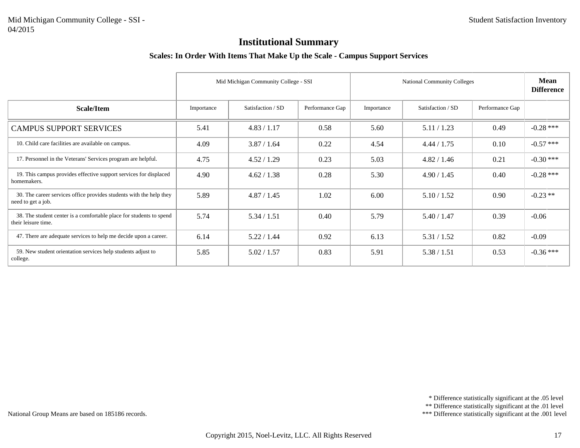#### **Scales: In Order With Items That Make Up the Scale - Campus Support Services**

|                                                                                            |            | Mid Michigan Community College - SSI |                 | <b>National Community Colleges</b> | <b>Mean</b><br><b>Difference</b> |                 |             |
|--------------------------------------------------------------------------------------------|------------|--------------------------------------|-----------------|------------------------------------|----------------------------------|-----------------|-------------|
| <b>Scale/Item</b>                                                                          | Importance | Satisfaction / SD                    | Performance Gap | Importance                         | Satisfaction / SD                | Performance Gap |             |
| <b>CAMPUS SUPPORT SERVICES</b>                                                             | 5.41       | 4.83 / 1.17                          | 0.58            | 5.60                               | 5.11 / 1.23                      | 0.49            | $-0.28$ *** |
| 10. Child care facilities are available on campus.                                         | 4.09       | 3.87 / 1.64                          | 0.22            | 4.54                               | 4.44 / 1.75                      | 0.10            | $-0.57$ *** |
| 17. Personnel in the Veterans' Services program are helpful.                               | 4.75       | 4.52 / 1.29                          | 0.23            | 5.03                               | 4.82 / 1.46                      | 0.21            | $-0.30$ *** |
| 19. This campus provides effective support services for displaced<br>homemakers.           | 4.90       | 4.62 / 1.38                          | 0.28            | 5.30                               | 4.90 / 1.45                      | 0.40            | $-0.28$ *** |
| 30. The career services office provides students with the help they<br>need to get a job.  | 5.89       | 4.87 / 1.45                          | 1.02            | 6.00                               | 5.10 / 1.52                      | 0.90            | $-0.23**$   |
| 38. The student center is a comfortable place for students to spend<br>their leisure time. | 5.74       | 5.34 / 1.51                          | 0.40            | 5.79                               | 5.40 / 1.47                      | 0.39            | $-0.06$     |
| 47. There are adequate services to help me decide upon a career.                           | 6.14       | 5.22 / 1.44                          | 0.92            | 6.13                               | 5.31 / 1.52                      | 0.82            | $-0.09$     |
| 59. New student orientation services help students adjust to<br>college.                   | 5.85       | 5.02 / 1.57                          | 0.83            | 5.91                               | 5.38 / 1.51                      | 0.53            | $-0.36$ *** |

\* Difference statistically significant at the .05 level

\*\* Difference statistically significant at the .01 level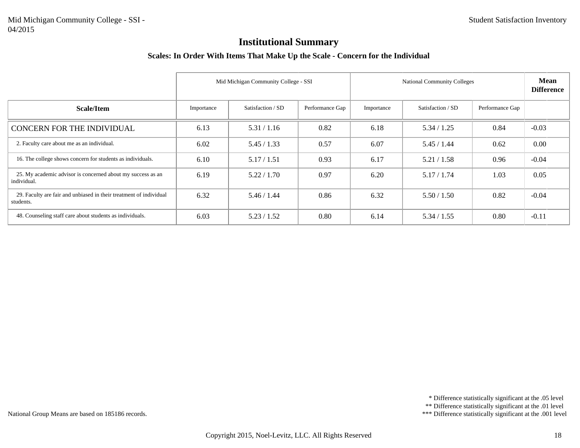#### **Scales: In Order With Items That Make Up the Scale - Concern for the Individual**

|                                                                                 | Mid Michigan Community College - SSI<br><b>National Community Colleges</b> |                   |                 |            |                   | <b>Mean</b><br><b>Difference</b> |         |
|---------------------------------------------------------------------------------|----------------------------------------------------------------------------|-------------------|-----------------|------------|-------------------|----------------------------------|---------|
| Scale/Item                                                                      | Importance                                                                 | Satisfaction / SD | Performance Gap | Importance | Satisfaction / SD | Performance Gap                  |         |
| <b>CONCERN FOR THE INDIVIDUAL</b>                                               | 6.13                                                                       | 5.31 / 1.16       | 0.82            | 6.18       | 5.34 / 1.25       | 0.84                             | $-0.03$ |
| 2. Faculty care about me as an individual.                                      | 6.02                                                                       | 5.45/1.33         | 0.57            | 6.07       | 5.45/1.44         | 0.62                             | 0.00    |
| 16. The college shows concern for students as individuals.                      | 6.10                                                                       | 5.17/1.51         | 0.93            | 6.17       | 5.21 / 1.58       | 0.96                             | $-0.04$ |
| 25. My academic advisor is concerned about my success as an<br>individual.      | 6.19                                                                       | 5.22 / 1.70       | 0.97            | 6.20       | 5.17/1.74         | 1.03                             | 0.05    |
| 29. Faculty are fair and unbiased in their treatment of individual<br>students. | 6.32                                                                       | 5.46 / 1.44       | 0.86            | 6.32       | 5.50 / 1.50       | 0.82                             | $-0.04$ |
| 48. Counseling staff care about students as individuals.                        | 6.03                                                                       | 5.23 / 1.52       | 0.80            | 6.14       | 5.34 / 1.55       | 0.80                             | $-0.11$ |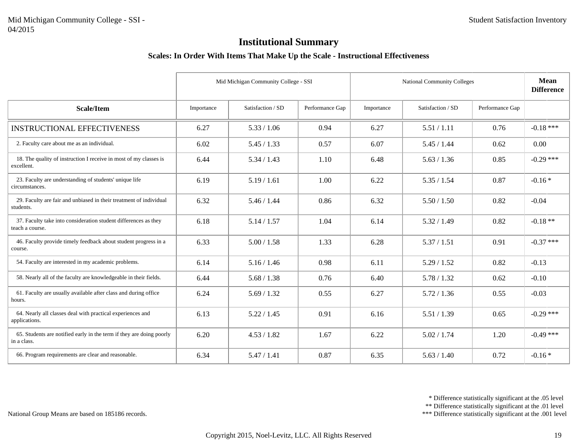#### **Scales: In Order With Items That Make Up the Scale - Instructional Effectiveness**

|                                                                                     |            | Mid Michigan Community College - SSI |                 | <b>National Community Colleges</b> |                   |                 | Mean<br><b>Difference</b> |
|-------------------------------------------------------------------------------------|------------|--------------------------------------|-----------------|------------------------------------|-------------------|-----------------|---------------------------|
| Scale/Item                                                                          | Importance | Satisfaction / SD                    | Performance Gap | Importance                         | Satisfaction / SD | Performance Gap |                           |
| <b>INSTRUCTIONAL EFFECTIVENESS</b>                                                  | 6.27       | 5.33 / 1.06                          | 0.94            | 6.27                               | 5.51 / 1.11       | 0.76            | $-0.18$ ***               |
| 2. Faculty care about me as an individual.                                          | 6.02       | 5.45 / 1.33                          | 0.57            | 6.07                               | 5.45 / 1.44       | 0.62            | 0.00                      |
| 18. The quality of instruction I receive in most of my classes is<br>excellent.     | 6.44       | 5.34 / 1.43                          | 1.10            | 6.48                               | 5.63 / 1.36       | 0.85            | $-0.29$ ***               |
| 23. Faculty are understanding of students' unique life<br>circumstances.            | 6.19       | 5.19/1.61                            | 1.00            | 6.22                               | 5.35 / 1.54       | 0.87            | $-0.16*$                  |
| 29. Faculty are fair and unbiased in their treatment of individual<br>students.     | 6.32       | 5.46 / 1.44                          | 0.86            | 6.32                               | 5.50 / 1.50       | 0.82            | $-0.04$                   |
| 37. Faculty take into consideration student differences as they<br>teach a course.  | 6.18       | 5.14 / 1.57                          | 1.04            | 6.14                               | 5.32 / 1.49       | 0.82            | $-0.18**$                 |
| 46. Faculty provide timely feedback about student progress in a<br>course.          | 6.33       | 5.00 / 1.58                          | 1.33            | 6.28                               | 5.37/1.51         | 0.91            | $-0.37$ ***               |
| 54. Faculty are interested in my academic problems.                                 | 6.14       | 5.16 / 1.46                          | 0.98            | 6.11                               | 5.29/1.52         | 0.82            | $-0.13$                   |
| 58. Nearly all of the faculty are knowledgeable in their fields.                    | 6.44       | 5.68 / 1.38                          | 0.76            | 6.40                               | 5.78 / 1.32       | 0.62            | $-0.10$                   |
| 61. Faculty are usually available after class and during office<br>hours.           | 6.24       | 5.69/1.32                            | 0.55            | 6.27                               | 5.72 / 1.36       | 0.55            | $-0.03$                   |
| 64. Nearly all classes deal with practical experiences and<br>applications.         | 6.13       | 5.22 / 1.45                          | 0.91            | 6.16                               | 5.51 / 1.39       | 0.65            | $-0.29$ ***               |
| 65. Students are notified early in the term if they are doing poorly<br>in a class. | 6.20       | 4.53 / 1.82                          | 1.67            | 6.22                               | 5.02 / 1.74       | 1.20            | $-0.49$ ***               |
| 66. Program requirements are clear and reasonable.                                  | 6.34       | 5.47/1.41                            | 0.87            | 6.35                               | 5.63 / 1.40       | 0.72            | $-0.16*$                  |

\* Difference statistically significant at the .05 level

\*\* Difference statistically significant at the .01 level

\*\*\* Difference statistically significant at the .001 level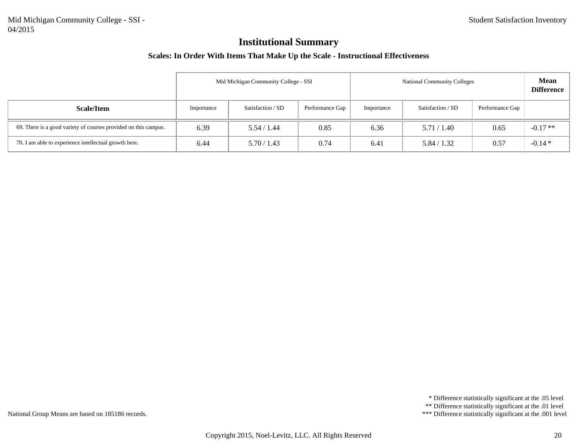#### **Scales: In Order With Items That Make Up the Scale - Instructional Effectiveness**

|                                                                 | Mid Michigan Community College - SSI<br><b>National Community Colleges</b> |                   |                 |            |                   |                 | <b>Mean</b><br><b>Difference</b> |
|-----------------------------------------------------------------|----------------------------------------------------------------------------|-------------------|-----------------|------------|-------------------|-----------------|----------------------------------|
| Scale/Item                                                      | Importance                                                                 | Satisfaction / SD | Performance Gap | Importance | Satisfaction / SD | Performance Gap |                                  |
| 69. There is a good variety of courses provided on this campus. | 6.39                                                                       | 5.54 / 1.44       | 0.85            | 6.36       | 5.71/1.40         | 0.65            | $-0.17**$                        |
| 70. I am able to experience intellectual growth here.           | 6.44                                                                       | 5.70/1.43         | 0.74            | 6.41       | 5.84 / 1.32       | 0.57            | $-0.14*$                         |

\* Difference statistically significant at the .05 level

\*\* Difference statistically significant at the .01 level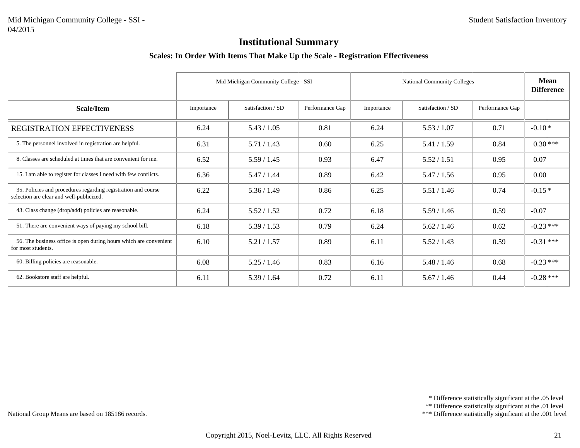#### **Scales: In Order With Items That Make Up the Scale - Registration Effectiveness**

|                                                                                                           |            | Mid Michigan Community College - SSI |                 |            | <b>National Community Colleges</b> |                 |             |
|-----------------------------------------------------------------------------------------------------------|------------|--------------------------------------|-----------------|------------|------------------------------------|-----------------|-------------|
| Scale/Item                                                                                                | Importance | Satisfaction / SD                    | Performance Gap | Importance | Satisfaction / SD                  | Performance Gap |             |
| REGISTRATION EFFECTIVENESS                                                                                | 6.24       | 5.43 / 1.05                          | 0.81            | 6.24       | 5.53 / 1.07                        | 0.71            | $-0.10*$    |
| 5. The personnel involved in registration are helpful.                                                    | 6.31       | 5.71/1.43                            | 0.60            | 6.25       | 5.41/1.59                          | 0.84            | $0.30***$   |
| 8. Classes are scheduled at times that are convenient for me.                                             | 6.52       | 5.59/1.45                            | 0.93            | 6.47       | 5.52 / 1.51                        | 0.95            | 0.07        |
| 15. I am able to register for classes I need with few conflicts.                                          | 6.36       | 5.47/1.44                            | 0.89            | 6.42       | 5.47 / 1.56                        | 0.95            | $0.00\,$    |
| 35. Policies and procedures regarding registration and course<br>selection are clear and well-publicized. | 6.22       | 5.36 / 1.49                          | 0.86            | 6.25       | 5.51 / 1.46                        | 0.74            | $-0.15*$    |
| 43. Class change (drop/add) policies are reasonable.                                                      | 6.24       | 5.52 / 1.52                          | 0.72            | 6.18       | 5.59/1.46                          | 0.59            | $-0.07$     |
| 51. There are convenient ways of paying my school bill.                                                   | 6.18       | 5.39/1.53                            | 0.79            | 6.24       | 5.62 / 1.46                        | 0.62            | $-0.23$ *** |
| 56. The business office is open during hours which are convenient<br>for most students.                   | 6.10       | 5.21 / 1.57                          | 0.89            | 6.11       | 5.52 / 1.43                        | 0.59            | $-0.31$ *** |
| 60. Billing policies are reasonable.                                                                      | 6.08       | 5.25/1.46                            | 0.83            | 6.16       | 5.48 / 1.46                        | 0.68            | $-0.23$ *** |
| 62. Bookstore staff are helpful.                                                                          | 6.11       | 5.39/1.64                            | 0.72            | 6.11       | 5.67 / 1.46                        | 0.44            | $-0.28$ *** |

\* Difference statistically significant at the .05 level

\*\* Difference statistically significant at the .01 level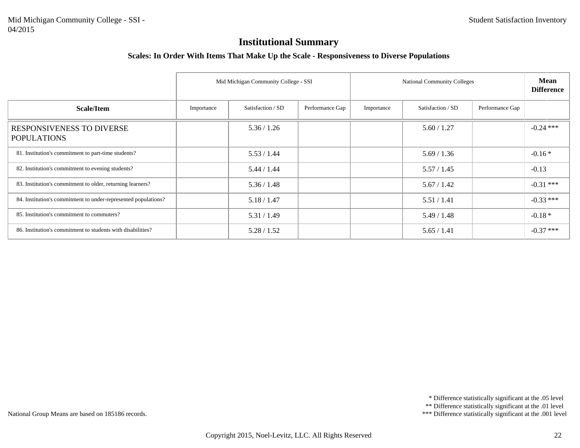#### **Scales: In Order With Items That Make Up the Scale - Responsiveness to Diverse Populations**

|                                                                |            | Mid Michigan Community College - SSI |                 | <b>National Community Colleges</b> | <b>Mean</b><br><b>Difference</b> |                 |             |
|----------------------------------------------------------------|------------|--------------------------------------|-----------------|------------------------------------|----------------------------------|-----------------|-------------|
| Scale/Item                                                     | Importance | Satisfaction / SD                    | Performance Gap | Importance                         | Satisfaction / SD                | Performance Gap |             |
| <b>RESPONSIVENESS TO DIVERSE</b><br><b>POPULATIONS</b>         |            | 5.36 / 1.26                          |                 |                                    | 5.60 / 1.27                      |                 | $-0.24$ *** |
| 81. Institution's commitment to part-time students?            |            | 5.53 / 1.44                          |                 |                                    | 5.69/1.36                        |                 | $-0.16*$    |
| 82. Institution's commitment to evening students?              |            | 5.44 / 1.44                          |                 |                                    | 5.57/1.45                        |                 | $-0.13$     |
| 83. Institution's commitment to older, returning learners?     |            | 5.36 / 1.48                          |                 |                                    | 5.67 / 1.42                      |                 | $-0.31$ *** |
| 84. Institution's commitment to under-represented populations? |            | 5.18 / 1.47                          |                 |                                    | 5.51 / 1.41                      |                 | $-0.33$ *** |
| 85. Institution's commitment to commuters?                     |            | 5.31 / 1.49                          |                 |                                    | 5.49/1.48                        |                 | $-0.18*$    |
| 86. Institution's commitment to students with disabilities?    |            | 5.28/1.52                            |                 |                                    | 5.65/1.41                        |                 | $-0.37$ *** |

\* Difference statistically significant at the .05 level

\*\* Difference statistically significant at the .01 level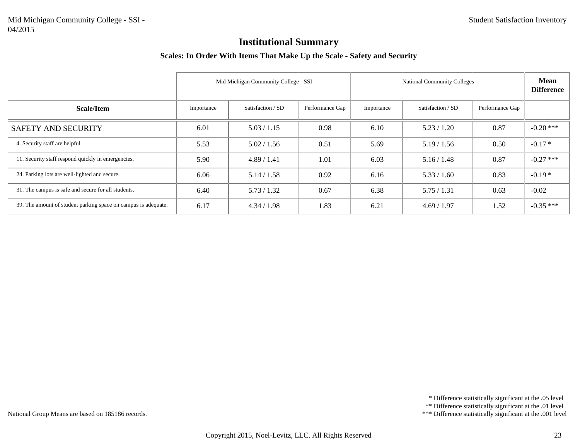#### **Scales: In Order With Items That Make Up the Scale - Safety and Security**

|                                                                | Mid Michigan Community College - SSI<br><b>National Community Colleges</b> |                   |                 |            |                   |                 | <b>Mean</b><br><b>Difference</b> |
|----------------------------------------------------------------|----------------------------------------------------------------------------|-------------------|-----------------|------------|-------------------|-----------------|----------------------------------|
| Scale/Item                                                     | Importance                                                                 | Satisfaction / SD | Performance Gap | Importance | Satisfaction / SD | Performance Gap |                                  |
| SAFETY AND SECURITY                                            | 6.01                                                                       | 5.03 / 1.15       | 0.98            | 6.10       | 5.23 / 1.20       | 0.87            | $-0.20$ ***                      |
| 4. Security staff are helpful.                                 | 5.53                                                                       | 5.02 / 1.56       | 0.51            | 5.69       | 5.19/1.56         | 0.50            | $-0.17*$                         |
| 11. Security staff respond quickly in emergencies.             | 5.90                                                                       | 4.89/1.41         | 1.01            | 6.03       | 5.16 / 1.48       | 0.87            | $-0.27$ ***                      |
| 24. Parking lots are well-lighted and secure.                  | 6.06                                                                       | 5.14/1.58         | 0.92            | 6.16       | 5.33 / 1.60       | 0.83            | $-0.19*$                         |
| 31. The campus is safe and secure for all students.            | 6.40                                                                       | 5.73/1.32         | 0.67            | 6.38       | 5.75/1.31         | 0.63            | $-0.02$                          |
| 39. The amount of student parking space on campus is adequate. | 6.17                                                                       | 4.34 / 1.98       | 1.83            | 6.21       | 4.69/1.97         | 1.52            | $-0.35$ ***                      |

\* Difference statistically significant at the .05 level

\*\* Difference statistically significant at the .01 level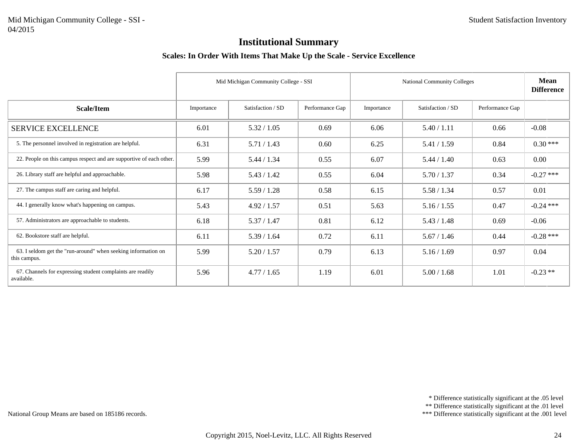#### **Scales: In Order With Items That Make Up the Scale - Service Excellence**

|                                                                               |            | Mid Michigan Community College - SSI |                 |            | National Community Colleges |                 | <b>Mean</b><br><b>Difference</b> |
|-------------------------------------------------------------------------------|------------|--------------------------------------|-----------------|------------|-----------------------------|-----------------|----------------------------------|
| <b>Scale/Item</b>                                                             | Importance | Satisfaction / SD                    | Performance Gap | Importance | Satisfaction / SD           | Performance Gap |                                  |
| <b>SERVICE EXCELLENCE</b>                                                     | 6.01       | 5.32 / 1.05                          | 0.69            | 6.06       | 5.40 / 1.11                 | 0.66            | $-0.08$                          |
| 5. The personnel involved in registration are helpful.                        | 6.31       | 5.71 / 1.43                          | 0.60            | 6.25       | 5.41 / 1.59                 | 0.84            | $0.30***$                        |
| 22. People on this campus respect and are supportive of each other.           | 5.99       | 5.44 / 1.34                          | 0.55            | 6.07       | 5.44 / 1.40                 | 0.63            | $0.00\,$                         |
| 26. Library staff are helpful and approachable.                               | 5.98       | 5.43 / 1.42                          | 0.55            | 6.04       | 5.70 / 1.37                 | 0.34            | $-0.27$ ***                      |
| 27. The campus staff are caring and helpful.                                  | 6.17       | 5.59/1.28                            | 0.58            | 6.15       | 5.58 / 1.34                 | 0.57            | 0.01                             |
| 44. I generally know what's happening on campus.                              | 5.43       | 4.92 / 1.57                          | 0.51            | 5.63       | 5.16 / 1.55                 | 0.47            | $-0.24$ ***                      |
| 57. Administrators are approachable to students.                              | 6.18       | 5.37 / 1.47                          | 0.81            | 6.12       | 5.43 / 1.48                 | 0.69            | $-0.06$                          |
| 62. Bookstore staff are helpful.                                              | 6.11       | 5.39 / 1.64                          | 0.72            | 6.11       | 5.67 / 1.46                 | 0.44            | $-0.28$ ***                      |
| 63. I seldom get the "run-around" when seeking information on<br>this campus. | 5.99       | 5.20 / 1.57                          | 0.79            | 6.13       | 5.16 / 1.69                 | 0.97            | 0.04                             |
| 67. Channels for expressing student complaints are readily<br>available.      | 5.96       | 4.77 / 1.65                          | 1.19            | 6.01       | 5.00 / 1.68                 | 1.01            | $-0.23$ **                       |

\* Difference statistically significant at the .05 level

\*\* Difference statistically significant at the .01 level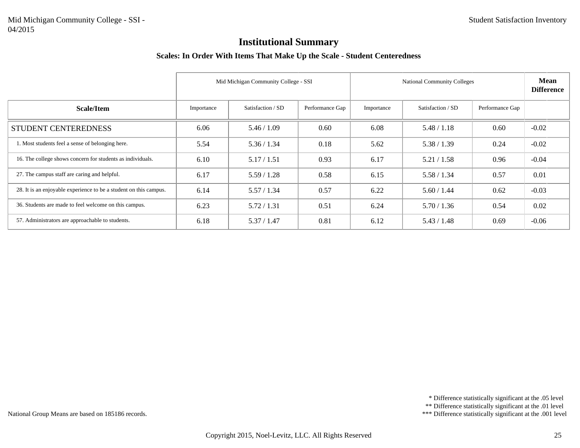#### **Scales: In Order With Items That Make Up the Scale - Student Centeredness**

|                                                                   |            | Mid Michigan Community College - SSI |                 | <b>National Community Colleges</b> | <b>Mean</b><br><b>Difference</b> |                 |         |
|-------------------------------------------------------------------|------------|--------------------------------------|-----------------|------------------------------------|----------------------------------|-----------------|---------|
| Scale/Item                                                        | Importance | Satisfaction / SD                    | Performance Gap | Importance                         | Satisfaction / SD                | Performance Gap |         |
| STUDENT CENTEREDNESS                                              | 6.06       | 5.46/1.09                            | 0.60            | 6.08                               | 5.48 / 1.18                      | 0.60            | $-0.02$ |
| 1. Most students feel a sense of belonging here.                  | 5.54       | 5.36 / 1.34                          | 0.18            | 5.62                               | 5.38 / 1.39                      | 0.24            | $-0.02$ |
| 16. The college shows concern for students as individuals.        | 6.10       | 5.17 / 1.51                          | 0.93            | 6.17                               | 5.21 / 1.58                      | 0.96            | $-0.04$ |
| 27. The campus staff are caring and helpful.                      | 6.17       | 5.59/1.28                            | 0.58            | 6.15                               | 5.58 / 1.34                      | 0.57            | 0.01    |
| 28. It is an enjoyable experience to be a student on this campus. | 6.14       | 5.57/1.34                            | 0.57            | 6.22                               | 5.60 / 1.44                      | 0.62            | $-0.03$ |
| 36. Students are made to feel welcome on this campus.             | 6.23       | 5.72/1.31                            | 0.51            | 6.24                               | 5.70/1.36                        | 0.54            | 0.02    |
| 57. Administrators are approachable to students.                  | 6.18       | 5.37/1.47                            | 0.81            | 6.12                               | 5.43 / 1.48                      | 0.69            | $-0.06$ |

\* Difference statistically significant at the .05 level

\*\* Difference statistically significant at the .01 level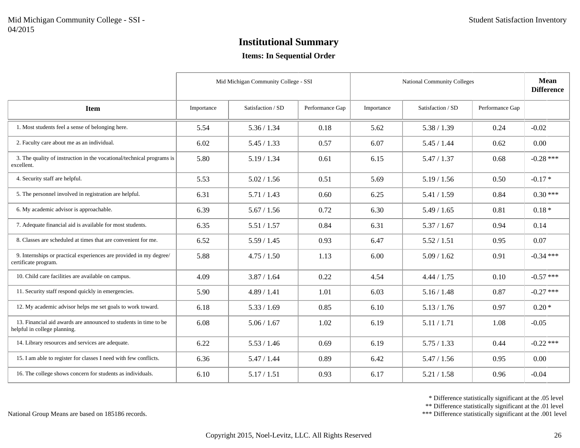#### **Items: In Sequential Order**

|                                                                                                  |            | Mid Michigan Community College - SSI |                 |            | <b>National Community Colleges</b> |                 | Mean<br><b>Difference</b> |
|--------------------------------------------------------------------------------------------------|------------|--------------------------------------|-----------------|------------|------------------------------------|-----------------|---------------------------|
| <b>Item</b>                                                                                      | Importance | Satisfaction / SD                    | Performance Gap | Importance | Satisfaction / SD                  | Performance Gap |                           |
| 1. Most students feel a sense of belonging here.                                                 | 5.54       | 5.36 / 1.34                          | 0.18            | 5.62       | 5.38 / 1.39                        | 0.24            | $-0.02$                   |
| 2. Faculty care about me as an individual.                                                       | 6.02       | 5.45 / 1.33                          | 0.57            | 6.07       | 5.45 / 1.44                        | 0.62            | 0.00                      |
| 3. The quality of instruction in the vocational/technical programs is<br>excellent.              | 5.80       | 5.19 / 1.34                          | 0.61            | 6.15       | 5.47 / 1.37                        | 0.68            | $-0.28$ ***               |
| 4. Security staff are helpful.                                                                   | 5.53       | 5.02 / 1.56                          | 0.51            | 5.69       | 5.19/1.56                          | 0.50            | $-0.17*$                  |
| 5. The personnel involved in registration are helpful.                                           | 6.31       | 5.71/1.43                            | 0.60            | 6.25       | 5.41 / 1.59                        | 0.84            | $0.30***$                 |
| 6. My academic advisor is approachable.                                                          | 6.39       | 5.67 / 1.56                          | 0.72            | 6.30       | 5.49 / 1.65                        | 0.81            | $0.18*$                   |
| 7. Adequate financial aid is available for most students.                                        | 6.35       | 5.51 / 1.57                          | 0.84            | 6.31       | 5.37/1.67                          | 0.94            | 0.14                      |
| 8. Classes are scheduled at times that are convenient for me.                                    | 6.52       | 5.59/1.45                            | 0.93            | 6.47       | 5.52 / 1.51                        | 0.95            | 0.07                      |
| 9. Internships or practical experiences are provided in my degree/<br>certificate program.       | 5.88       | 4.75/1.50                            | 1.13            | 6.00       | 5.09/1.62                          | 0.91            | $-0.34$ ***               |
| 10. Child care facilities are available on campus.                                               | 4.09       | 3.87 / 1.64                          | 0.22            | 4.54       | 4.44 / 1.75                        | 0.10            | $-0.57$ ***               |
| 11. Security staff respond quickly in emergencies.                                               | 5.90       | 4.89 / 1.41                          | 1.01            | 6.03       | 5.16 / 1.48                        | 0.87            | $-0.27$ ***               |
| 12. My academic advisor helps me set goals to work toward.                                       | 6.18       | 5.33 / 1.69                          | 0.85            | 6.10       | 5.13 / 1.76                        | 0.97            | $0.20*$                   |
| 13. Financial aid awards are announced to students in time to be<br>helpful in college planning. | 6.08       | 5.06 / 1.67                          | 1.02            | 6.19       | 5.11 / 1.71                        | 1.08            | $-0.05$                   |
| 14. Library resources and services are adequate.                                                 | 6.22       | 5.53 / 1.46                          | 0.69            | 6.19       | 5.75/1.33                          | 0.44            | $-0.22$ ***               |
| 15. I am able to register for classes I need with few conflicts.                                 | 6.36       | 5.47 / 1.44                          | 0.89            | 6.42       | 5.47/1.56                          | 0.95            | 0.00                      |
| 16. The college shows concern for students as individuals.                                       | 6.10       | 5.17 / 1.51                          | 0.93            | 6.17       | 5.21 / 1.58                        | 0.96            | $-0.04$                   |

\* Difference statistically significant at the .05 level

\*\* Difference statistically significant at the .01 level

\*\*\* Difference statistically significant at the .001 level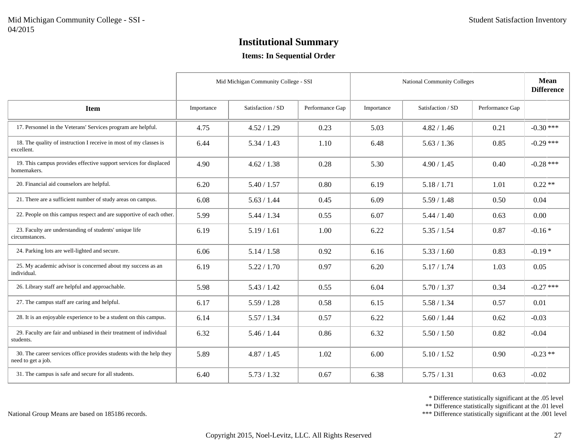#### **Items: In Sequential Order**

|                                                                                           | Mid Michigan Community College - SSI |                   |                 | <b>National Community Colleges</b> | Mean<br><b>Difference</b> |                 |             |
|-------------------------------------------------------------------------------------------|--------------------------------------|-------------------|-----------------|------------------------------------|---------------------------|-----------------|-------------|
| <b>Item</b>                                                                               | Importance                           | Satisfaction / SD | Performance Gap | Importance                         | Satisfaction / SD         | Performance Gap |             |
| 17. Personnel in the Veterans' Services program are helpful.                              | 4.75                                 | 4.52 / 1.29       | 0.23            | 5.03                               | 4.82 / 1.46               | 0.21            | $-0.30$ *** |
| 18. The quality of instruction I receive in most of my classes is<br>excellent.           | 6.44                                 | 5.34 / 1.43       | 1.10            | 6.48                               | 5.63 / 1.36               | 0.85            | $-0.29$ *** |
| 19. This campus provides effective support services for displaced<br>homemakers.          | 4.90                                 | 4.62 / 1.38       | 0.28            | 5.30                               | 4.90 / 1.45               | 0.40            | $-0.28$ *** |
| 20. Financial aid counselors are helpful.                                                 | 6.20                                 | 5.40 / 1.57       | 0.80            | 6.19                               | 5.18 / 1.71               | 1.01            | $0.22**$    |
| 21. There are a sufficient number of study areas on campus.                               | 6.08                                 | 5.63 / 1.44       | 0.45            | 6.09                               | 5.59/1.48                 | 0.50            | 0.04        |
| 22. People on this campus respect and are supportive of each other.                       | 5.99                                 | 5.44 / 1.34       | 0.55            | 6.07                               | 5.44 / 1.40               | 0.63            | 0.00        |
| 23. Faculty are understanding of students' unique life<br>circumstances.                  | 6.19                                 | 5.19 / 1.61       | 1.00            | 6.22                               | 5.35 / 1.54               | 0.87            | $-0.16*$    |
| 24. Parking lots are well-lighted and secure.                                             | 6.06                                 | 5.14 / 1.58       | 0.92            | 6.16                               | 5.33 / 1.60               | 0.83            | $-0.19*$    |
| 25. My academic advisor is concerned about my success as an<br>individual.                | 6.19                                 | 5.22 / 1.70       | 0.97            | 6.20                               | 5.17 / 1.74               | 1.03            | 0.05        |
| 26. Library staff are helpful and approachable.                                           | 5.98                                 | 5.43 / 1.42       | 0.55            | 6.04                               | 5.70 / 1.37               | 0.34            | $-0.27$ *** |
| 27. The campus staff are caring and helpful.                                              | 6.17                                 | 5.59/1.28         | 0.58            | 6.15                               | 5.58 / 1.34               | 0.57            | 0.01        |
| 28. It is an enjoyable experience to be a student on this campus.                         | 6.14                                 | 5.57 / 1.34       | 0.57            | 6.22                               | 5.60 / 1.44               | 0.62            | $-0.03$     |
| 29. Faculty are fair and unbiased in their treatment of individual<br>students.           | 6.32                                 | 5.46 / 1.44       | 0.86            | 6.32                               | 5.50 / 1.50               | 0.82            | $-0.04$     |
| 30. The career services office provides students with the help they<br>need to get a job. | 5.89                                 | 4.87 / 1.45       | 1.02            | 6.00                               | 5.10 / 1.52               | 0.90            | $-0.23$ **  |
| 31. The campus is safe and secure for all students.                                       | 6.40                                 | 5.73 / 1.32       | 0.67            | 6.38                               | 5.75/1.31                 | 0.63            | $-0.02$     |

\* Difference statistically significant at the .05 level

\*\* Difference statistically significant at the .01 level

\*\*\* Difference statistically significant at the .001 level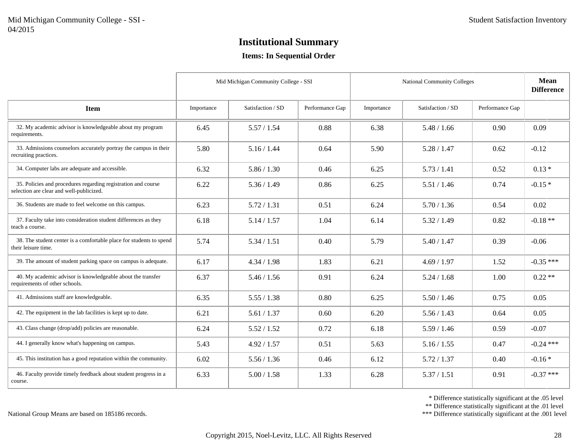#### **Items: In Sequential Order**

|                                                                                                           | Mid Michigan Community College - SSI |                   |                 | <b>National Community Colleges</b> | <b>Mean</b><br><b>Difference</b> |                 |             |
|-----------------------------------------------------------------------------------------------------------|--------------------------------------|-------------------|-----------------|------------------------------------|----------------------------------|-----------------|-------------|
| <b>Item</b>                                                                                               | Importance                           | Satisfaction / SD | Performance Gap | Importance                         | Satisfaction / SD                | Performance Gap |             |
| 32. My academic advisor is knowledgeable about my program<br>requirements.                                | 6.45                                 | 5.57/1.54         | 0.88            | 6.38                               | 5.48 / 1.66                      | 0.90            | 0.09        |
| 33. Admissions counselors accurately portray the campus in their<br>recruiting practices.                 | 5.80                                 | 5.16 / 1.44       | 0.64            | 5.90                               | 5.28 / 1.47                      | 0.62            | $-0.12$     |
| 34. Computer labs are adequate and accessible.                                                            | 6.32                                 | 5.86 / 1.30       | 0.46            | 6.25                               | 5.73/1.41                        | 0.52            | $0.13*$     |
| 35. Policies and procedures regarding registration and course<br>selection are clear and well-publicized. | 6.22                                 | 5.36 / 1.49       | 0.86            | 6.25                               | 5.51 / 1.46                      | 0.74            | $-0.15*$    |
| 36. Students are made to feel welcome on this campus.                                                     | 6.23                                 | 5.72 / 1.31       | 0.51            | 6.24                               | 5.70 / 1.36                      | 0.54            | 0.02        |
| 37. Faculty take into consideration student differences as they<br>teach a course.                        | 6.18                                 | 5.14 / 1.57       | 1.04            | 6.14                               | 5.32 / 1.49                      | 0.82            | $-0.18**$   |
| 38. The student center is a comfortable place for students to spend<br>their leisure time.                | 5.74                                 | 5.34 / 1.51       | 0.40            | 5.79                               | 5.40 / 1.47                      | 0.39            | $-0.06$     |
| 39. The amount of student parking space on campus is adequate.                                            | 6.17                                 | 4.34 / 1.98       | 1.83            | 6.21                               | 4.69 / 1.97                      | 1.52            | $-0.35$ *** |
| 40. My academic advisor is knowledgeable about the transfer<br>requirements of other schools.             | 6.37                                 | 5.46 / 1.56       | 0.91            | 6.24                               | 5.24 / 1.68                      | 1.00            | $0.22**$    |
| 41. Admissions staff are knowledgeable.                                                                   | 6.35                                 | 5.55 / 1.38       | 0.80            | 6.25                               | 5.50 / 1.46                      | 0.75            | 0.05        |
| 42. The equipment in the lab facilities is kept up to date.                                               | 6.21                                 | 5.61 / 1.37       | 0.60            | 6.20                               | 5.56 / 1.43                      | 0.64            | 0.05        |
| 43. Class change (drop/add) policies are reasonable.                                                      | 6.24                                 | 5.52 / 1.52       | 0.72            | 6.18                               | 5.59/1.46                        | 0.59            | $-0.07$     |
| 44. I generally know what's happening on campus.                                                          | 5.43                                 | 4.92 / 1.57       | 0.51            | 5.63                               | 5.16 / 1.55                      | 0.47            | $-0.24$ *** |
| 45. This institution has a good reputation within the community.                                          | 6.02                                 | 5.56 / 1.36       | 0.46            | 6.12                               | 5.72 / 1.37                      | 0.40            | $-0.16*$    |
| 46. Faculty provide timely feedback about student progress in a<br>course.                                | 6.33                                 | 5.00 / 1.58       | 1.33            | 6.28                               | 5.37 / 1.51                      | 0.91            | $-0.37$ *** |

\* Difference statistically significant at the .05 level

\*\* Difference statistically significant at the .01 level

\*\*\* Difference statistically significant at the .001 level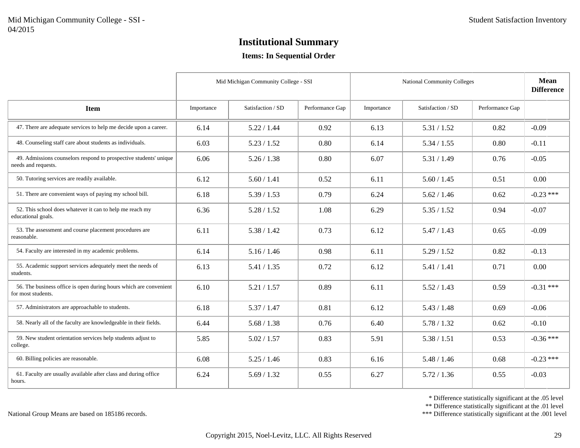#### **Items: In Sequential Order**

|                                                                                          | Mid Michigan Community College - SSI |                   |                 | <b>National Community Colleges</b> | <b>Mean</b><br><b>Difference</b> |                 |             |
|------------------------------------------------------------------------------------------|--------------------------------------|-------------------|-----------------|------------------------------------|----------------------------------|-----------------|-------------|
| <b>Item</b>                                                                              | Importance                           | Satisfaction / SD | Performance Gap | Importance                         | Satisfaction / SD                | Performance Gap |             |
| 47. There are adequate services to help me decide upon a career.                         | 6.14                                 | 5.22 / 1.44       | 0.92            | 6.13                               | 5.31 / 1.52                      | 0.82            | $-0.09$     |
| 48. Counseling staff care about students as individuals.                                 | 6.03                                 | 5.23 / 1.52       | 0.80            | 6.14                               | 5.34 / 1.55                      | 0.80            | $-0.11$     |
| 49. Admissions counselors respond to prospective students' unique<br>needs and requests. | 6.06                                 | 5.26 / 1.38       | 0.80            | 6.07                               | 5.31 / 1.49                      | 0.76            | $-0.05$     |
| 50. Tutoring services are readily available.                                             | 6.12                                 | 5.60 / 1.41       | 0.52            | 6.11                               | 5.60 / 1.45                      | 0.51            | 0.00        |
| 51. There are convenient ways of paying my school bill.                                  | 6.18                                 | 5.39 / 1.53       | 0.79            | 6.24                               | 5.62 / 1.46                      | 0.62            | $-0.23$ *** |
| 52. This school does whatever it can to help me reach my<br>educational goals.           | 6.36                                 | 5.28 / 1.52       | 1.08            | 6.29                               | 5.35 / 1.52                      | 0.94            | $-0.07$     |
| 53. The assessment and course placement procedures are<br>reasonable.                    | 6.11                                 | 5.38 / 1.42       | 0.73            | 6.12                               | 5.47/1.43                        | 0.65            | $-0.09$     |
| 54. Faculty are interested in my academic problems.                                      | 6.14                                 | 5.16 / 1.46       | 0.98            | 6.11                               | 5.29/1.52                        | 0.82            | $-0.13$     |
| 55. Academic support services adequately meet the needs of<br>students.                  | 6.13                                 | 5.41 / 1.35       | 0.72            | 6.12                               | 5.41 / 1.41                      | 0.71            | 0.00        |
| 56. The business office is open during hours which are convenient<br>for most students.  | 6.10                                 | 5.21 / 1.57       | 0.89            | 6.11                               | 5.52 / 1.43                      | 0.59            | $-0.31$ *** |
| 57. Administrators are approachable to students.                                         | 6.18                                 | 5.37 / 1.47       | 0.81            | 6.12                               | 5.43 / 1.48                      | 0.69            | $-0.06$     |
| 58. Nearly all of the faculty are knowledgeable in their fields.                         | 6.44                                 | 5.68 / 1.38       | 0.76            | 6.40                               | 5.78 / 1.32                      | 0.62            | $-0.10$     |
| 59. New student orientation services help students adjust to<br>college.                 | 5.85                                 | 5.02 / 1.57       | 0.83            | 5.91                               | 5.38 / 1.51                      | 0.53            | $-0.36$ *** |
| 60. Billing policies are reasonable.                                                     | 6.08                                 | 5.25/1.46         | 0.83            | 6.16                               | 5.48 / 1.46                      | 0.68            | $-0.23$ *** |
| 61. Faculty are usually available after class and during office<br>hours.                | 6.24                                 | 5.69 / 1.32       | 0.55            | 6.27                               | 5.72 / 1.36                      | 0.55            | $-0.03$     |

\* Difference statistically significant at the .05 level

\*\* Difference statistically significant at the .01 level

\*\*\* Difference statistically significant at the .001 level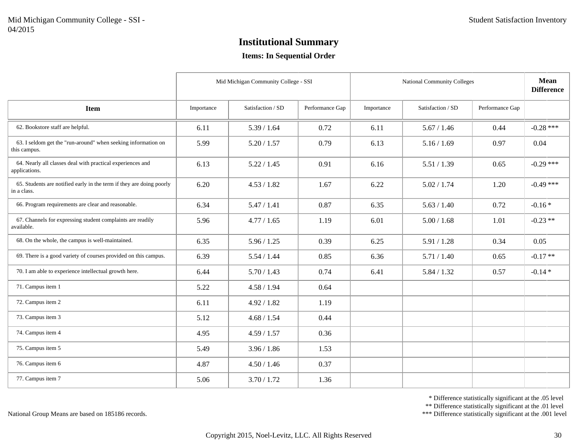#### **Items: In Sequential Order**

|                                                                                     | Mid Michigan Community College - SSI |                   |                 | <b>National Community Colleges</b> | <b>Mean</b><br><b>Difference</b> |                 |             |
|-------------------------------------------------------------------------------------|--------------------------------------|-------------------|-----------------|------------------------------------|----------------------------------|-----------------|-------------|
| <b>Item</b>                                                                         | Importance                           | Satisfaction / SD | Performance Gap | Importance                         | Satisfaction / SD                | Performance Gap |             |
| 62. Bookstore staff are helpful.                                                    | 6.11                                 | 5.39 / 1.64       | 0.72            | 6.11                               | 5.67 / 1.46                      | 0.44            | $-0.28$ *** |
| 63. I seldom get the "run-around" when seeking information on<br>this campus.       | 5.99                                 | 5.20 / 1.57       | 0.79            | 6.13                               | 5.16 / 1.69                      | 0.97            | 0.04        |
| 64. Nearly all classes deal with practical experiences and<br>applications.         | 6.13                                 | 5.22 / 1.45       | 0.91            | 6.16                               | 5.51 / 1.39                      | 0.65            | $-0.29$ *** |
| 65. Students are notified early in the term if they are doing poorly<br>in a class. | 6.20                                 | 4.53 / 1.82       | 1.67            | 6.22                               | 5.02 / 1.74                      | 1.20            | $-0.49$ *** |
| 66. Program requirements are clear and reasonable.                                  | 6.34                                 | 5.47 / 1.41       | 0.87            | 6.35                               | 5.63 / 1.40                      | 0.72            | $-0.16*$    |
| 67. Channels for expressing student complaints are readily<br>available.            | 5.96                                 | 4.77 / 1.65       | 1.19            | 6.01                               | 5.00 / 1.68                      | 1.01            | $-0.23**$   |
| 68. On the whole, the campus is well-maintained.                                    | 6.35                                 | 5.96 / 1.25       | 0.39            | 6.25                               | 5.91 / 1.28                      | 0.34            | 0.05        |
| 69. There is a good variety of courses provided on this campus.                     | 6.39                                 | 5.54 / 1.44       | 0.85            | 6.36                               | 5.71/1.40                        | 0.65            | $-0.17**$   |
| 70. I am able to experience intellectual growth here.                               | 6.44                                 | 5.70 / 1.43       | 0.74            | 6.41                               | 5.84 / 1.32                      | 0.57            | $-0.14*$    |
| 71. Campus item 1                                                                   | 5.22                                 | 4.58 / 1.94       | 0.64            |                                    |                                  |                 |             |
| 72. Campus item 2                                                                   | 6.11                                 | 4.92 / 1.82       | 1.19            |                                    |                                  |                 |             |
| 73. Campus item 3                                                                   | 5.12                                 | 4.68 / 1.54       | 0.44            |                                    |                                  |                 |             |
| 74. Campus item 4                                                                   | 4.95                                 | 4.59 / 1.57       | 0.36            |                                    |                                  |                 |             |
| 75. Campus item 5                                                                   | 5.49                                 | 3.96 / 1.86       | 1.53            |                                    |                                  |                 |             |
| 76. Campus item 6                                                                   | 4.87                                 | 4.50 / 1.46       | 0.37            |                                    |                                  |                 |             |
| 77. Campus item 7                                                                   | 5.06                                 | 3.70 / 1.72       | 1.36            |                                    |                                  |                 |             |

\* Difference statistically significant at the .05 level

\*\* Difference statistically significant at the .01 level

\*\*\* Difference statistically significant at the .001 level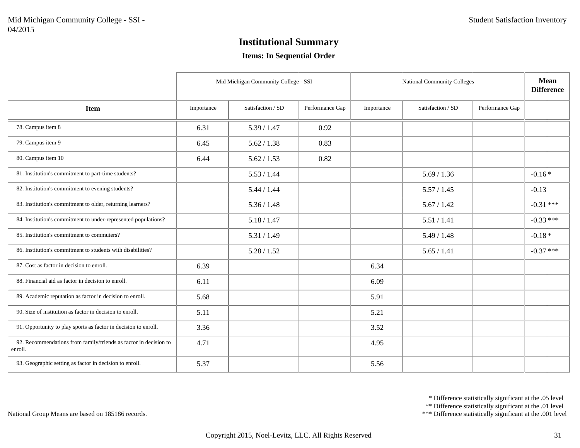#### **Items: In Sequential Order**

|                                                                             | Mid Michigan Community College - SSI |                   |                 | National Community Colleges | <b>Mean</b><br><b>Difference</b> |                 |             |
|-----------------------------------------------------------------------------|--------------------------------------|-------------------|-----------------|-----------------------------|----------------------------------|-----------------|-------------|
| <b>Item</b>                                                                 | Importance                           | Satisfaction / SD | Performance Gap | Importance                  | Satisfaction / SD                | Performance Gap |             |
| 78. Campus item 8                                                           | 6.31                                 | 5.39 / 1.47       | 0.92            |                             |                                  |                 |             |
| 79. Campus item 9                                                           | 6.45                                 | 5.62 / 1.38       | 0.83            |                             |                                  |                 |             |
| 80. Campus item 10                                                          | 6.44                                 | 5.62 / 1.53       | 0.82            |                             |                                  |                 |             |
| 81. Institution's commitment to part-time students?                         |                                      | 5.53 / 1.44       |                 |                             | 5.69 / 1.36                      |                 | $-0.16*$    |
| 82. Institution's commitment to evening students?                           |                                      | 5.44 / 1.44       |                 |                             | 5.57 / 1.45                      |                 | $-0.13$     |
| 83. Institution's commitment to older, returning learners?                  |                                      | 5.36 / 1.48       |                 |                             | 5.67 / 1.42                      |                 | $-0.31$ *** |
| 84. Institution's commitment to under-represented populations?              |                                      | 5.18 / 1.47       |                 |                             | 5.51 / 1.41                      |                 | $-0.33$ *** |
| 85. Institution's commitment to commuters?                                  |                                      | 5.31 / 1.49       |                 |                             | 5.49 / 1.48                      |                 | $-0.18*$    |
| 86. Institution's commitment to students with disabilities?                 |                                      | 5.28 / 1.52       |                 |                             | 5.65 / 1.41                      |                 | $-0.37$ *** |
| 87. Cost as factor in decision to enroll.                                   | 6.39                                 |                   |                 | 6.34                        |                                  |                 |             |
| 88. Financial aid as factor in decision to enroll.                          | 6.11                                 |                   |                 | 6.09                        |                                  |                 |             |
| 89. Academic reputation as factor in decision to enroll.                    | 5.68                                 |                   |                 | 5.91                        |                                  |                 |             |
| 90. Size of institution as factor in decision to enroll.                    | 5.11                                 |                   |                 | 5.21                        |                                  |                 |             |
| 91. Opportunity to play sports as factor in decision to enroll.             | 3.36                                 |                   |                 | 3.52                        |                                  |                 |             |
| 92. Recommendations from family/friends as factor in decision to<br>enroll. | 4.71                                 |                   |                 | 4.95                        |                                  |                 |             |
| 93. Geographic setting as factor in decision to enroll.                     | 5.37                                 |                   |                 | 5.56                        |                                  |                 |             |

\* Difference statistically significant at the .05 level

\*\* Difference statistically significant at the .01 level

\*\*\* Difference statistically significant at the .001 level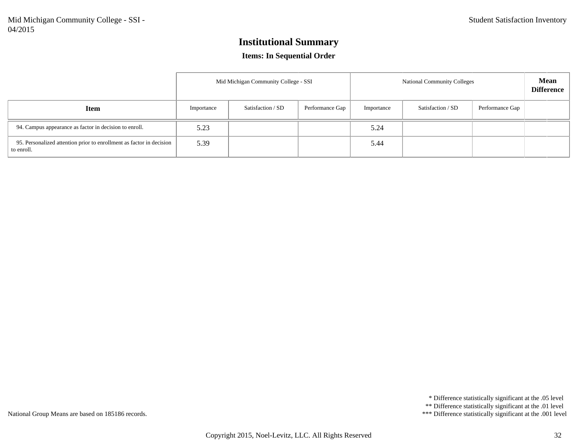#### **Items: In Sequential Order**

|                                                                                    | Mid Michigan Community College - SSI |                   |                 | <b>National Community Colleges</b> |                   |                 | <b>Mean</b><br><b>Difference</b> |
|------------------------------------------------------------------------------------|--------------------------------------|-------------------|-----------------|------------------------------------|-------------------|-----------------|----------------------------------|
| Item                                                                               | Importance                           | Satisfaction / SD | Performance Gap | Importance                         | Satisfaction / SD | Performance Gap |                                  |
| 94. Campus appearance as factor in decision to enroll.                             | 5.23                                 |                   |                 | 5.24                               |                   |                 |                                  |
| 95. Personalized attention prior to enrollment as factor in decision<br>to enroll. | 5.39                                 |                   |                 | 5.44                               |                   |                 |                                  |

\* Difference statistically significant at the .05 level

\*\* Difference statistically significant at the .01 level